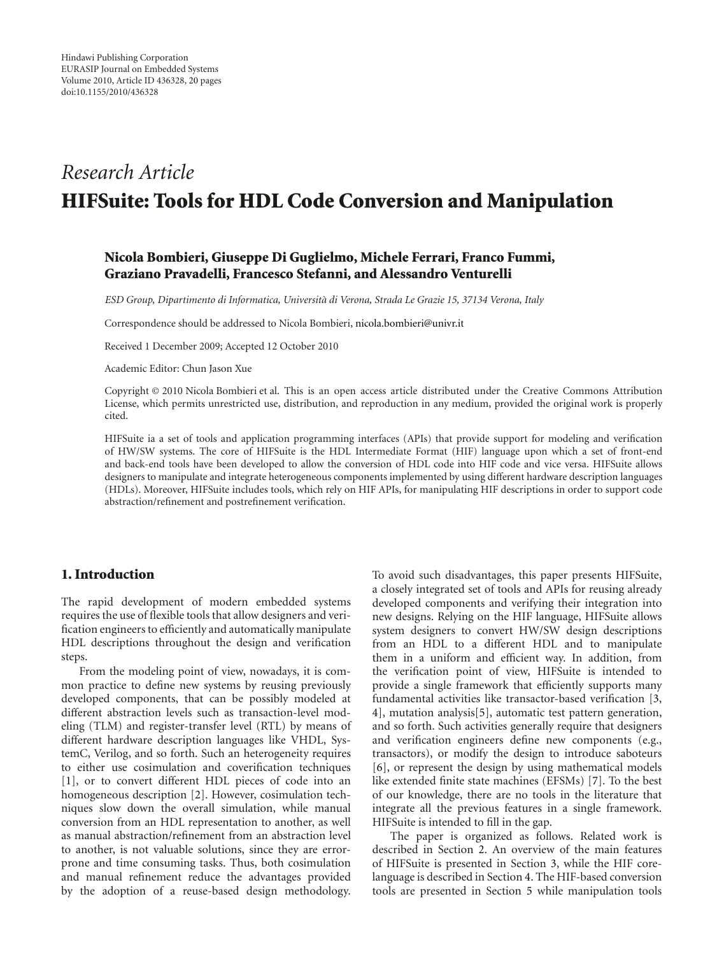# *Research Article* **HIFSuite: Tools for HDL Code Conversion and Manipulation**

# **Nicola Bombieri, Giuseppe Di Guglielmo, Michele Ferrari, Franco Fummi, Graziano Pravadelli, Francesco Stefanni, and Alessandro Venturelli**

*ESD Group, Dipartimento di Informatica, Universita di Verona, Strada Le Grazie 15, 37134 Verona, Italy `*

Correspondence should be addressed to Nicola Bombieri, nicola.bombieri@univr.it

Received 1 December 2009; Accepted 12 October 2010

Academic Editor: Chun Jason Xue

Copyright © 2010 Nicola Bombieri et al. This is an open access article distributed under the Creative Commons Attribution License, which permits unrestricted use, distribution, and reproduction in any medium, provided the original work is properly cited.

HIFSuite ia a set of tools and application programming interfaces (APIs) that provide support for modeling and verification of HW/SW systems. The core of HIFSuite is the HDL Intermediate Format (HIF) language upon which a set of front-end and back-end tools have been developed to allow the conversion of HDL code into HIF code and vice versa. HIFSuite allows designers to manipulate and integrate heterogeneous components implemented by using different hardware description languages (HDLs). Moreover, HIFSuite includes tools, which rely on HIF APIs, for manipulating HIF descriptions in order to support code abstraction/refinement and postrefinement verification.

## **1. Introduction**

The rapid development of modern embedded systems requires the use of flexible tools that allow designers and verification engineers to efficiently and automatically manipulate HDL descriptions throughout the design and verification steps.

From the modeling point of view, nowadays, it is common practice to define new systems by reusing previously developed components, that can be possibly modeled at different abstraction levels such as transaction-level modeling (TLM) and register-transfer level (RTL) by means of different hardware description languages like VHDL, SystemC, Verilog, and so forth. Such an heterogeneity requires to either use cosimulation and coverification techniques [1], or to convert different HDL pieces of code into an homogeneous description [2]. However, cosimulation techniques slow down the overall simulation, while manual conversion from an HDL representation to another, as well as manual abstraction/refinement from an abstraction level to another, is not valuable solutions, since they are errorprone and time consuming tasks. Thus, both cosimulation and manual refinement reduce the advantages provided by the adoption of a reuse-based design methodology.

To avoid such disadvantages, this paper presents HIFSuite, a closely integrated set of tools and APIs for reusing already developed components and verifying their integration into new designs. Relying on the HIF language, HIFSuite allows system designers to convert HW/SW design descriptions from an HDL to a different HDL and to manipulate them in a uniform and efficient way. In addition, from the verification point of view, HIFSuite is intended to provide a single framework that efficiently supports many fundamental activities like transactor-based verification [3, 4], mutation analysis[5], automatic test pattern generation, and so forth. Such activities generally require that designers and verification engineers define new components (e.g., transactors), or modify the design to introduce saboteurs [6], or represent the design by using mathematical models like extended finite state machines (EFSMs) [7]. To the best of our knowledge, there are no tools in the literature that integrate all the previous features in a single framework. HIFSuite is intended to fill in the gap.

The paper is organized as follows. Related work is described in Section 2. An overview of the main features of HIFSuite is presented in Section 3, while the HIF corelanguage is described in Section 4. The HIF-based conversion tools are presented in Section 5 while manipulation tools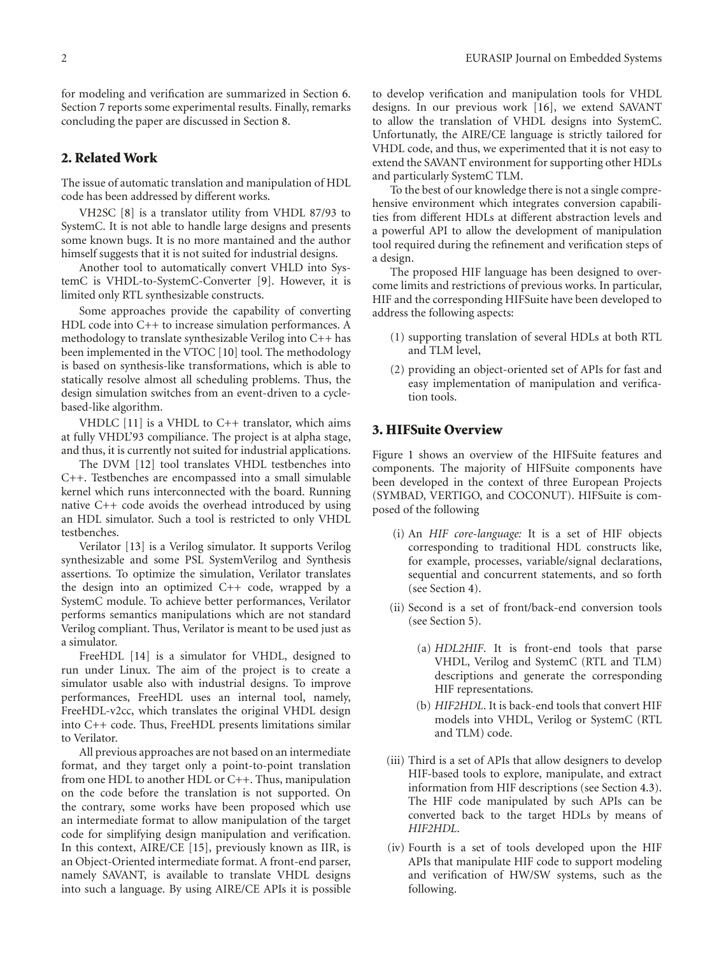for modeling and verification are summarized in Section 6. Section 7 reports some experimental results. Finally, remarks concluding the paper are discussed in Section 8.

# **2. Related Work**

The issue of automatic translation and manipulation of HDL code has been addressed by different works.

VH2SC [8] is a translator utility from VHDL 87/93 to SystemC. It is not able to handle large designs and presents some known bugs. It is no more mantained and the author himself suggests that it is not suited for industrial designs.

Another tool to automatically convert VHLD into SystemC is VHDL-to-SystemC-Converter [9]. However, it is limited only RTL synthesizable constructs.

Some approaches provide the capability of converting HDL code into C++ to increase simulation performances. A methodology to translate synthesizable Verilog into C++ has been implemented in the VTOC [10] tool. The methodology is based on synthesis-like transformations, which is able to statically resolve almost all scheduling problems. Thus, the design simulation switches from an event-driven to a cyclebased-like algorithm.

VHDLC [11] is a VHDL to C++ translator, which aims at fully VHDL'93 compiliance. The project is at alpha stage, and thus, it is currently not suited for industrial applications.

The DVM [12] tool translates VHDL testbenches into C++. Testbenches are encompassed into a small simulable kernel which runs interconnected with the board. Running native C++ code avoids the overhead introduced by using an HDL simulator. Such a tool is restricted to only VHDL testbenches.

Verilator [13] is a Verilog simulator. It supports Verilog synthesizable and some PSL SystemVerilog and Synthesis assertions. To optimize the simulation, Verilator translates the design into an optimized C++ code, wrapped by a SystemC module. To achieve better performances, Verilator performs semantics manipulations which are not standard Verilog compliant. Thus, Verilator is meant to be used just as a simulator.

FreeHDL [14] is a simulator for VHDL, designed to run under Linux. The aim of the project is to create a simulator usable also with industrial designs. To improve performances, FreeHDL uses an internal tool, namely, FreeHDL-v2cc, which translates the original VHDL design into C++ code. Thus, FreeHDL presents limitations similar to Verilator.

All previous approaches are not based on an intermediate format, and they target only a point-to-point translation from one HDL to another HDL or C++. Thus, manipulation on the code before the translation is not supported. On the contrary, some works have been proposed which use an intermediate format to allow manipulation of the target code for simplifying design manipulation and verification. In this context, AIRE/CE [15], previously known as IIR, is an Object-Oriented intermediate format. A front-end parser, namely SAVANT, is available to translate VHDL designs into such a language. By using AIRE/CE APIs it is possible

to develop verification and manipulation tools for VHDL designs. In our previous work [16], we extend SAVANT to allow the translation of VHDL designs into SystemC. Unfortunatly, the AIRE/CE language is strictly tailored for VHDL code, and thus, we experimented that it is not easy to extend the SAVANT environment for supporting other HDLs and particularly SystemC TLM.

To the best of our knowledge there is not a single comprehensive environment which integrates conversion capabilities from different HDLs at different abstraction levels and a powerful API to allow the development of manipulation tool required during the refinement and verification steps of a design.

The proposed HIF language has been designed to overcome limits and restrictions of previous works. In particular, HIF and the corresponding HIFSuite have been developed to address the following aspects:

- (1) supporting translation of several HDLs at both RTL and TLM level,
- (2) providing an object-oriented set of APIs for fast and easy implementation of manipulation and verification tools.

# **3. HIFSuite Overview**

Figure 1 shows an overview of the HIFSuite features and components. The majority of HIFSuite components have been developed in the context of three European Projects (SYMBAD, VERTIGO, and COCONUT). HIFSuite is composed of the following

- (i) An *HIF core-language:* It is a set of HIF objects corresponding to traditional HDL constructs like, for example, processes, variable/signal declarations, sequential and concurrent statements, and so forth (see Section 4).
- (ii) Second is a set of front/back-end conversion tools (see Section 5).
	- (a) *HDL2HIF*. It is front-end tools that parse VHDL, Verilog and SystemC (RTL and TLM) descriptions and generate the corresponding HIF representations.
	- (b) *HIF2HDL*. It is back-end tools that convert HIF models into VHDL, Verilog or SystemC (RTL and TLM) code.
- (iii) Third is a set of APIs that allow designers to develop HIF-based tools to explore, manipulate, and extract information from HIF descriptions (see Section 4.3). The HIF code manipulated by such APIs can be converted back to the target HDLs by means of *HIF2HDL*.
- (iv) Fourth is a set of tools developed upon the HIF APIs that manipulate HIF code to support modeling and verification of HW/SW systems, such as the following.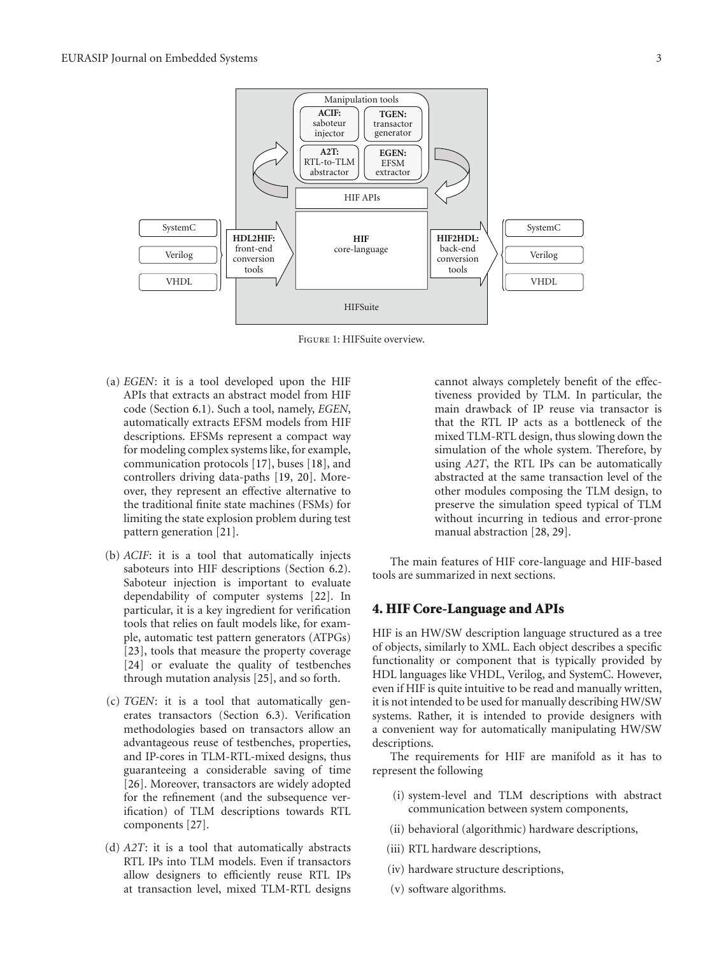

Figure 1: HIFSuite overview.

- (a) *EGEN*: it is a tool developed upon the HIF APIs that extracts an abstract model from HIF code (Section 6.1). Such a tool, namely, *EGEN*, automatically extracts EFSM models from HIF descriptions. EFSMs represent a compact way for modeling complex systems like, for example, communication protocols [17], buses [18], and controllers driving data-paths [19, 20]. Moreover, they represent an effective alternative to the traditional finite state machines (FSMs) for limiting the state explosion problem during test pattern generation [21].
- (b) *ACIF*: it is a tool that automatically injects saboteurs into HIF descriptions (Section 6.2). Saboteur injection is important to evaluate dependability of computer systems [22]. In particular, it is a key ingredient for verification tools that relies on fault models like, for example, automatic test pattern generators (ATPGs) [23], tools that measure the property coverage [24] or evaluate the quality of testbenches through mutation analysis [25], and so forth.
- (c) *TGEN*: it is a tool that automatically generates transactors (Section 6.3). Verification methodologies based on transactors allow an advantageous reuse of testbenches, properties, and IP-cores in TLM-RTL-mixed designs, thus guaranteeing a considerable saving of time [26]. Moreover, transactors are widely adopted for the refinement (and the subsequence verification) of TLM descriptions towards RTL components [27].
- (d) *A2T*: it is a tool that automatically abstracts RTL IPs into TLM models. Even if transactors allow designers to efficiently reuse RTL IPs at transaction level, mixed TLM-RTL designs

cannot always completely benefit of the effectiveness provided by TLM. In particular, the main drawback of IP reuse via transactor is that the RTL IP acts as a bottleneck of the mixed TLM-RTL design, thus slowing down the simulation of the whole system. Therefore, by using *A2T*, the RTL IPs can be automatically abstracted at the same transaction level of the other modules composing the TLM design, to preserve the simulation speed typical of TLM without incurring in tedious and error-prone manual abstraction [28, 29].

The main features of HIF core-language and HIF-based tools are summarized in next sections.

#### **4. HIF Core-Language and APIs**

HIF is an HW/SW description language structured as a tree of objects, similarly to XML. Each object describes a specific functionality or component that is typically provided by HDL languages like VHDL, Verilog, and SystemC. However, even if HIF is quite intuitive to be read and manually written, it is not intended to be used for manually describing HW/SW systems. Rather, it is intended to provide designers with a convenient way for automatically manipulating HW/SW descriptions.

The requirements for HIF are manifold as it has to represent the following

- (i) system-level and TLM descriptions with abstract communication between system components,
- (ii) behavioral (algorithmic) hardware descriptions,
- (iii) RTL hardware descriptions,
- (iv) hardware structure descriptions,
- (v) software algorithms.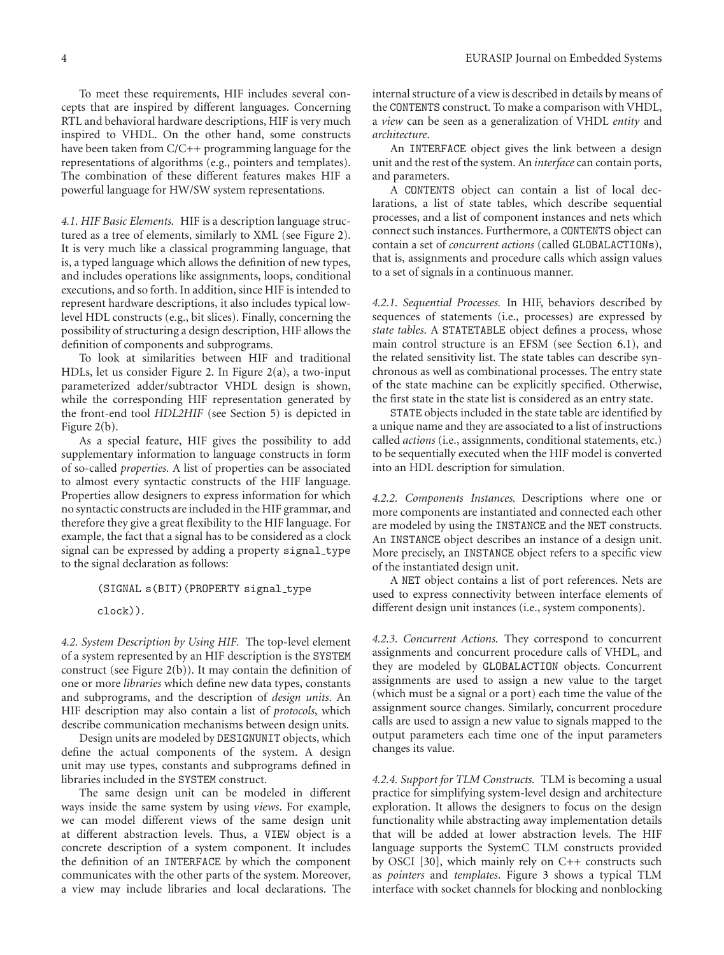To meet these requirements, HIF includes several concepts that are inspired by different languages. Concerning RTL and behavioral hardware descriptions, HIF is very much inspired to VHDL. On the other hand, some constructs have been taken from C/C++ programming language for the representations of algorithms (e.g., pointers and templates). The combination of these different features makes HIF a powerful language for HW/SW system representations.

*4.1. HIF Basic Elements.* HIF is a description language structured as a tree of elements, similarly to XML (see Figure 2). It is very much like a classical programming language, that is, a typed language which allows the definition of new types, and includes operations like assignments, loops, conditional executions, and so forth. In addition, since HIF is intended to represent hardware descriptions, it also includes typical lowlevel HDL constructs (e.g., bit slices). Finally, concerning the possibility of structuring a design description, HIF allows the definition of components and subprograms.

To look at similarities between HIF and traditional HDLs, let us consider Figure 2. In Figure 2(a), a two-input parameterized adder/subtractor VHDL design is shown, while the corresponding HIF representation generated by the front-end tool *HDL2HIF* (see Section 5) is depicted in Figure 2(b).

As a special feature, HIF gives the possibility to add supplementary information to language constructs in form of so-called *properties*. A list of properties can be associated to almost every syntactic constructs of the HIF language. Properties allow designers to express information for which no syntactic constructs are included in the HIF grammar, and therefore they give a great flexibility to the HIF language. For example, the fact that a signal has to be considered as a clock signal can be expressed by adding a property signal\_type to the signal declaration as follows:

> (SIGNAL s(BIT)(PROPERTY signal\_type clock)).

*4.2. System Description by Using HIF.* The top-level element of a system represented by an HIF description is the SYSTEM construct (see Figure 2(b)). It may contain the definition of one or more *libraries* which define new data types, constants and subprograms, and the description of *design units*. An HIF description may also contain a list of *protocols*, which describe communication mechanisms between design units.

Design units are modeled by DESIGNUNIT objects, which define the actual components of the system. A design unit may use types, constants and subprograms defined in libraries included in the SYSTEM construct.

The same design unit can be modeled in different ways inside the same system by using *views*. For example, we can model different views of the same design unit at different abstraction levels. Thus, a VIEW object is a concrete description of a system component. It includes the definition of an INTERFACE by which the component communicates with the other parts of the system. Moreover, a view may include libraries and local declarations. The internal structure of a view is described in details by means of the CONTENTS construct. To make a comparison with VHDL, a *view* can be seen as a generalization of VHDL *entity* and *architecture*.

An INTERFACE object gives the link between a design unit and the rest of the system. An *interface* can contain ports, and parameters.

A CONTENTS object can contain a list of local declarations, a list of state tables, which describe sequential processes, and a list of component instances and nets which connect such instances. Furthermore, a CONTENTS object can contain a set of *concurrent actions* (called GLOBALACTIONs), that is, assignments and procedure calls which assign values to a set of signals in a continuous manner.

*4.2.1. Sequential Processes.* In HIF, behaviors described by sequences of statements (i.e., processes) are expressed by *state tables*. A STATETABLE object defines a process, whose main control structure is an EFSM (see Section 6.1), and the related sensitivity list. The state tables can describe synchronous as well as combinational processes. The entry state of the state machine can be explicitly specified. Otherwise, the first state in the state list is considered as an entry state.

STATE objects included in the state table are identified by a unique name and they are associated to a list of instructions called *actions* (i.e., assignments, conditional statements, etc.) to be sequentially executed when the HIF model is converted into an HDL description for simulation.

*4.2.2. Components Instances.* Descriptions where one or more components are instantiated and connected each other are modeled by using the INSTANCE and the NET constructs. An INSTANCE object describes an instance of a design unit. More precisely, an INSTANCE object refers to a specific view of the instantiated design unit.

A NET object contains a list of port references. Nets are used to express connectivity between interface elements of different design unit instances (i.e., system components).

*4.2.3. Concurrent Actions.* They correspond to concurrent assignments and concurrent procedure calls of VHDL, and they are modeled by GLOBALACTION objects. Concurrent assignments are used to assign a new value to the target (which must be a signal or a port) each time the value of the assignment source changes. Similarly, concurrent procedure calls are used to assign a new value to signals mapped to the output parameters each time one of the input parameters changes its value.

*4.2.4. Support for TLM Constructs.* TLM is becoming a usual practice for simplifying system-level design and architecture exploration. It allows the designers to focus on the design functionality while abstracting away implementation details that will be added at lower abstraction levels. The HIF language supports the SystemC TLM constructs provided by OSCI [30], which mainly rely on C++ constructs such as *pointers* and *templates*. Figure 3 shows a typical TLM interface with socket channels for blocking and nonblocking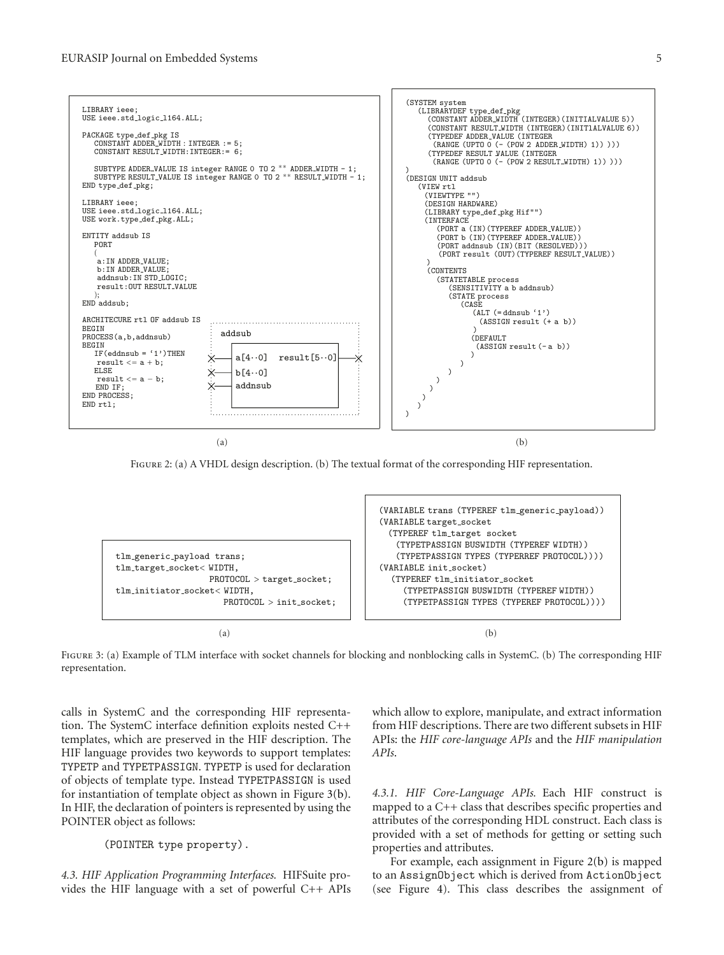



(a)

(b)

Figure 2: (a) A VHDL design description. (b) The textual format of the corresponding HIF representation.



Figure 3: (a) Example of TLM interface with socket channels for blocking and nonblocking calls in SystemC. (b) The corresponding HIF representation.

calls in SystemC and the corresponding HIF representation. The SystemC interface definition exploits nested C++ templates, which are preserved in the HIF description. The HIF language provides two keywords to support templates: TYPETP and TYPETPASSIGN. TYPETP is used for declaration of objects of template type. Instead TYPETPASSIGN is used for instantiation of template object as shown in Figure 3(b). In HIF, the declaration of pointers is represented by using the POINTER object as follows:

(POINTER type property).

*4.3. HIF Application Programming Interfaces.* HIFSuite provides the HIF language with a set of powerful C++ APIs

which allow to explore, manipulate, and extract information from HIF descriptions. There are two different subsets in HIF APIs: the *HIF core-language APIs* and the *HIF manipulation APIs*.

*4.3.1. HIF Core-Language APIs.* Each HIF construct is mapped to a C++ class that describes specific properties and attributes of the corresponding HDL construct. Each class is provided with a set of methods for getting or setting such properties and attributes.

For example, each assignment in Figure 2(b) is mapped to an AssignObject which is derived from ActionObject (see Figure 4). This class describes the assignment of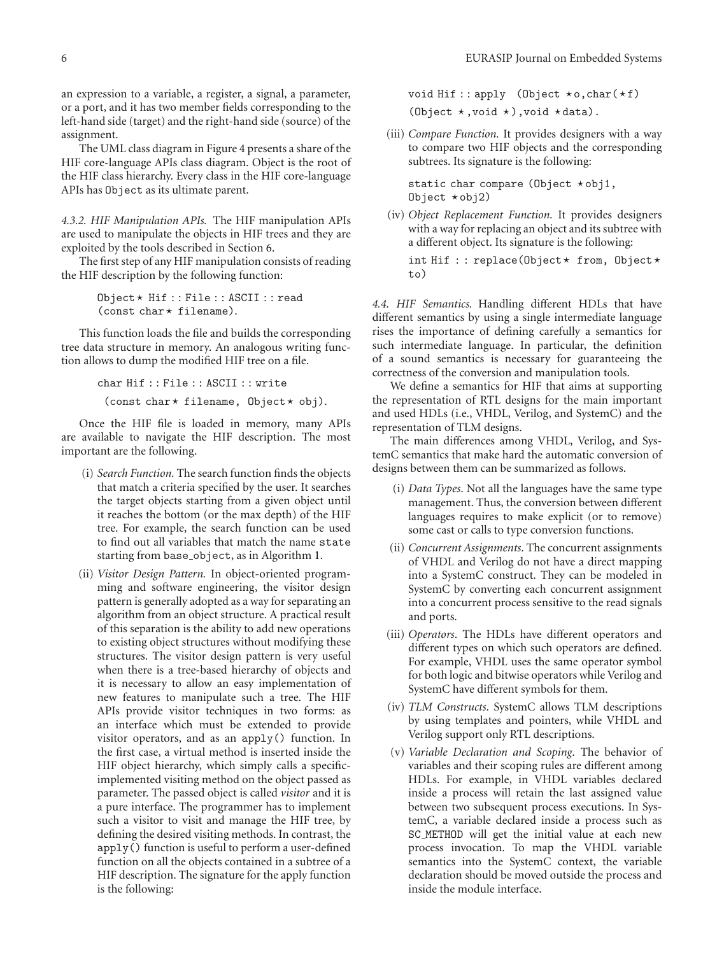an expression to a variable, a register, a signal, a parameter, or a port, and it has two member fields corresponding to the left-hand side (target) and the right-hand side (source) of the assignment.

The UML class diagram in Figure 4 presents a share of the HIF core-language APIs class diagram. Object is the root of the HIF class hierarchy. Every class in the HIF core-language APIs has Object as its ultimate parent.

*4.3.2. HIF Manipulation APIs.* The HIF manipulation APIs are used to manipulate the objects in HIF trees and they are exploited by the tools described in Section 6.

The first step of any HIF manipulation consists of reading the HIF description by the following function:

```
\texttt{Object} \star \texttt{Hit} :: \texttt{File} :: \texttt{ASCII} :: \texttt{read}(const char * filename).
```
This function loads the file and builds the corresponding tree data structure in memory. An analogous writing function allows to dump the modified HIF tree on a file.

```
char Hif : : File : : ASCII : : write
 (const char* filename, Object* obj).
```
Once the HIF file is loaded in memory, many APIs are available to navigate the HIF description. The most important are the following.

- (i) *Search Function.* The search function finds the objects that match a criteria specified by the user. It searches the target objects starting from a given object until it reaches the bottom (or the max depth) of the HIF tree. For example, the search function can be used to find out all variables that match the name state starting from base object, as in Algorithm 1.
- (ii) *Visitor Design Pattern.* In object-oriented programming and software engineering, the visitor design pattern is generally adopted as a way for separating an algorithm from an object structure. A practical result of this separation is the ability to add new operations to existing object structures without modifying these structures. The visitor design pattern is very useful when there is a tree-based hierarchy of objects and it is necessary to allow an easy implementation of new features to manipulate such a tree. The HIF APIs provide visitor techniques in two forms: as an interface which must be extended to provide visitor operators, and as an apply() function. In the first case, a virtual method is inserted inside the HIF object hierarchy, which simply calls a specificimplemented visiting method on the object passed as parameter. The passed object is called *visitor* and it is a pure interface. The programmer has to implement such a visitor to visit and manage the HIF tree, by defining the desired visiting methods. In contrast, the apply() function is useful to perform a user-defined function on all the objects contained in a subtree of a HIF description. The signature for the apply function is the following:

void Hif :: apply (Object \*o, char(\*f) (Object  $\star$ , void  $\star$ ), void  $\star$  data).

(iii) *Compare Function.* It provides designers with a way to compare two HIF objects and the corresponding subtrees. Its signature is the following:

static char compare (Object \*obj1, 0bject \*obj2)

(iv) *Object Replacement Function.* It provides designers with a way for replacing an object and its subtree with a different object. Its signature is the following:

int Hif :: replace(Object\* from, Object\* to)

*4.4. HIF Semantics.* Handling different HDLs that have different semantics by using a single intermediate language rises the importance of defining carefully a semantics for such intermediate language. In particular, the definition of a sound semantics is necessary for guaranteeing the correctness of the conversion and manipulation tools.

We define a semantics for HIF that aims at supporting the representation of RTL designs for the main important and used HDLs (i.e., VHDL, Verilog, and SystemC) and the representation of TLM designs.

The main differences among VHDL, Verilog, and SystemC semantics that make hard the automatic conversion of designs between them can be summarized as follows.

- (i) *Data Types*. Not all the languages have the same type management. Thus, the conversion between different languages requires to make explicit (or to remove) some cast or calls to type conversion functions.
- (ii) *Concurrent Assignments*. The concurrent assignments of VHDL and Verilog do not have a direct mapping into a SystemC construct. They can be modeled in SystemC by converting each concurrent assignment into a concurrent process sensitive to the read signals and ports.
- (iii) *Operators*. The HDLs have different operators and different types on which such operators are defined. For example, VHDL uses the same operator symbol for both logic and bitwise operators while Verilog and SystemC have different symbols for them.
- (iv) *TLM Constructs*. SystemC allows TLM descriptions by using templates and pointers, while VHDL and Verilog support only RTL descriptions.
- (v) *Variable Declaration and Scoping*. The behavior of variables and their scoping rules are different among HDLs. For example, in VHDL variables declared inside a process will retain the last assigned value between two subsequent process executions. In SystemC, a variable declared inside a process such as SC METHOD will get the initial value at each new process invocation. To map the VHDL variable semantics into the SystemC context, the variable declaration should be moved outside the process and inside the module interface.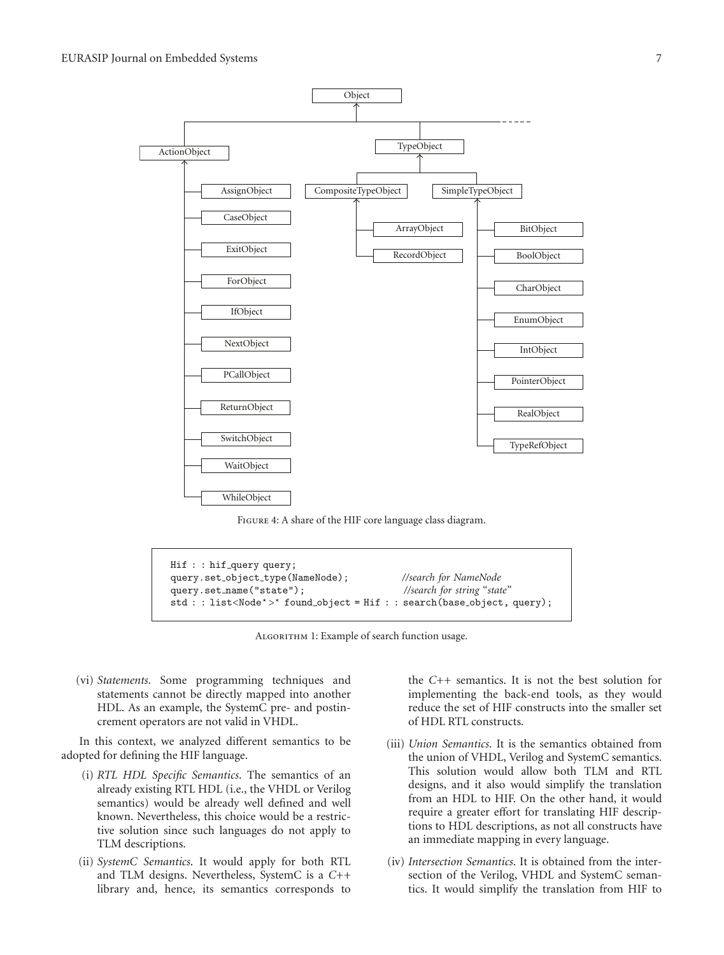

Figure 4: A share of the HIF core language class diagram.



ALGORITHM 1: Example of search function usage.

(vi) *Statements*. Some programming techniques and statements cannot be directly mapped into another HDL. As an example, the SystemC pre- and postincrement operators are not valid in VHDL.

In this context, we analyzed different semantics to be adopted for defining the HIF language.

- (i) *RTL HDL Specific Semantics*. The semantics of an already existing RTL HDL (i.e., the VHDL or Verilog semantics) would be already well defined and well known. Nevertheless, this choice would be a restrictive solution since such languages do not apply to TLM descriptions.
- (ii) *SystemC Semantics*. It would apply for both RTL and TLM designs. Nevertheless, SystemC is a *C++* library and, hence, its semantics corresponds to

the *C++* semantics. It is not the best solution for implementing the back-end tools, as they would reduce the set of HIF constructs into the smaller set of HDL RTL constructs.

- (iii) *Union Semantics*. It is the semantics obtained from the union of VHDL, Verilog and SystemC semantics. This solution would allow both TLM and RTL designs, and it also would simplify the translation from an HDL to HIF. On the other hand, it would require a greater effort for translating HIF descriptions to HDL descriptions, as not all constructs have an immediate mapping in every language.
- (iv) *Intersection Semantics*. It is obtained from the intersection of the Verilog, VHDL and SystemC semantics. It would simplify the translation from HIF to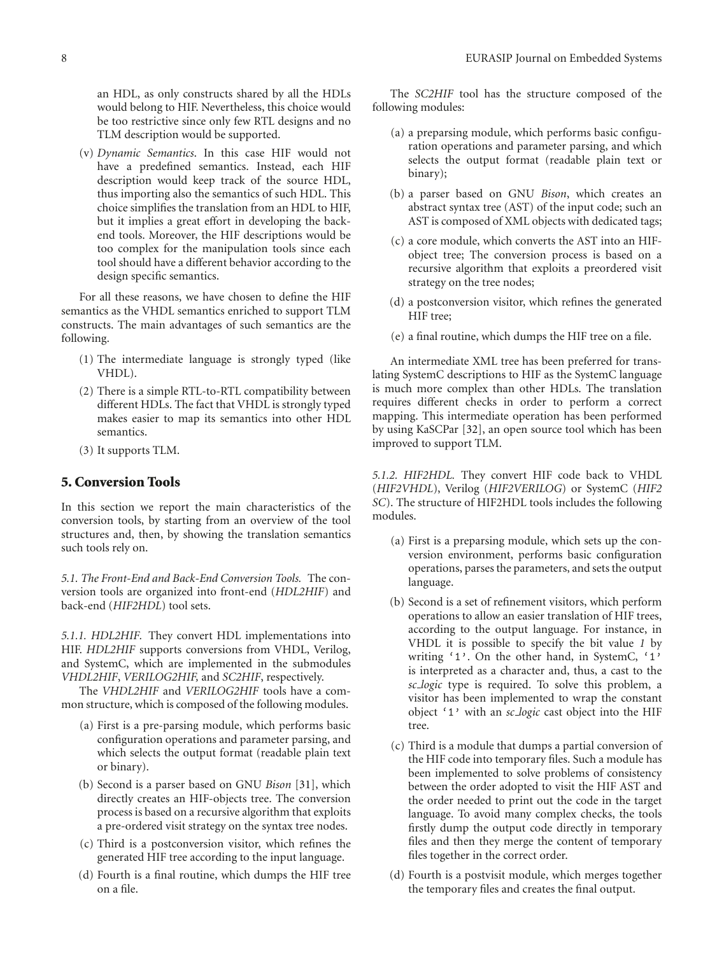an HDL, as only constructs shared by all the HDLs would belong to HIF. Nevertheless, this choice would be too restrictive since only few RTL designs and no TLM description would be supported.

(v) *Dynamic Semantics*. In this case HIF would not have a predefined semantics. Instead, each HIF description would keep track of the source HDL, thus importing also the semantics of such HDL. This choice simplifies the translation from an HDL to HIF, but it implies a great effort in developing the backend tools. Moreover, the HIF descriptions would be too complex for the manipulation tools since each tool should have a different behavior according to the design specific semantics.

For all these reasons, we have chosen to define the HIF semantics as the VHDL semantics enriched to support TLM constructs. The main advantages of such semantics are the following.

- (1) The intermediate language is strongly typed (like VHDL).
- (2) There is a simple RTL-to-RTL compatibility between different HDLs. The fact that VHDL is strongly typed makes easier to map its semantics into other HDL semantics.
- (3) It supports TLM.

# **5. Conversion Tools**

In this section we report the main characteristics of the conversion tools, by starting from an overview of the tool structures and, then, by showing the translation semantics such tools rely on.

*5.1. The Front-End and Back-End Conversion Tools.* The conversion tools are organized into front-end (*HDL2HIF*) and back-end (*HIF2HDL*) tool sets.

*5.1.1. HDL2HIF.* They convert HDL implementations into HIF. *HDL2HIF* supports conversions from VHDL, Verilog, and SystemC, which are implemented in the submodules *VHDL2HIF*, *VERILOG2HIF,* and *SC2HIF*, respectively.

The *VHDL2HIF* and *VERILOG2HIF* tools have a common structure, which is composed of the following modules.

- (a) First is a pre-parsing module, which performs basic configuration operations and parameter parsing, and which selects the output format (readable plain text or binary).
- (b) Second is a parser based on GNU *Bison* [31], which directly creates an HIF-objects tree. The conversion process is based on a recursive algorithm that exploits a pre-ordered visit strategy on the syntax tree nodes.
- (c) Third is a postconversion visitor, which refines the generated HIF tree according to the input language.
- (d) Fourth is a final routine, which dumps the HIF tree on a file.

The *SC2HIF* tool has the structure composed of the following modules:

- (a) a preparsing module, which performs basic configuration operations and parameter parsing, and which selects the output format (readable plain text or binary);
- (b) a parser based on GNU *Bison*, which creates an abstract syntax tree (AST) of the input code; such an AST is composed of XML objects with dedicated tags;
- (c) a core module, which converts the AST into an HIFobject tree; The conversion process is based on a recursive algorithm that exploits a preordered visit strategy on the tree nodes;
- (d) a postconversion visitor, which refines the generated HIF tree;
- (e) a final routine, which dumps the HIF tree on a file.

An intermediate XML tree has been preferred for translating SystemC descriptions to HIF as the SystemC language is much more complex than other HDLs. The translation requires different checks in order to perform a correct mapping. This intermediate operation has been performed by using KaSCPar [32], an open source tool which has been improved to support TLM.

*5.1.2. HIF2HDL.* They convert HIF code back to VHDL (*HIF2VHDL*), Verilog (*HIF2VERILOG*) or SystemC (*HIF2 SC*). The structure of HIF2HDL tools includes the following modules.

- (a) First is a preparsing module, which sets up the conversion environment, performs basic configuration operations, parses the parameters, and sets the output language.
- (b) Second is a set of refinement visitors, which perform operations to allow an easier translation of HIF trees, according to the output language. For instance, in VHDL it is possible to specify the bit value *1* by writing '1'. On the other hand, in SystemC, '1' is interpreted as a character and, thus, a cast to the *sc logic* type is required. To solve this problem, a visitor has been implemented to wrap the constant object '1' with an *sc logic* cast object into the HIF tree.
- (c) Third is a module that dumps a partial conversion of the HIF code into temporary files. Such a module has been implemented to solve problems of consistency between the order adopted to visit the HIF AST and the order needed to print out the code in the target language. To avoid many complex checks, the tools firstly dump the output code directly in temporary files and then they merge the content of temporary files together in the correct order.
- (d) Fourth is a postvisit module, which merges together the temporary files and creates the final output.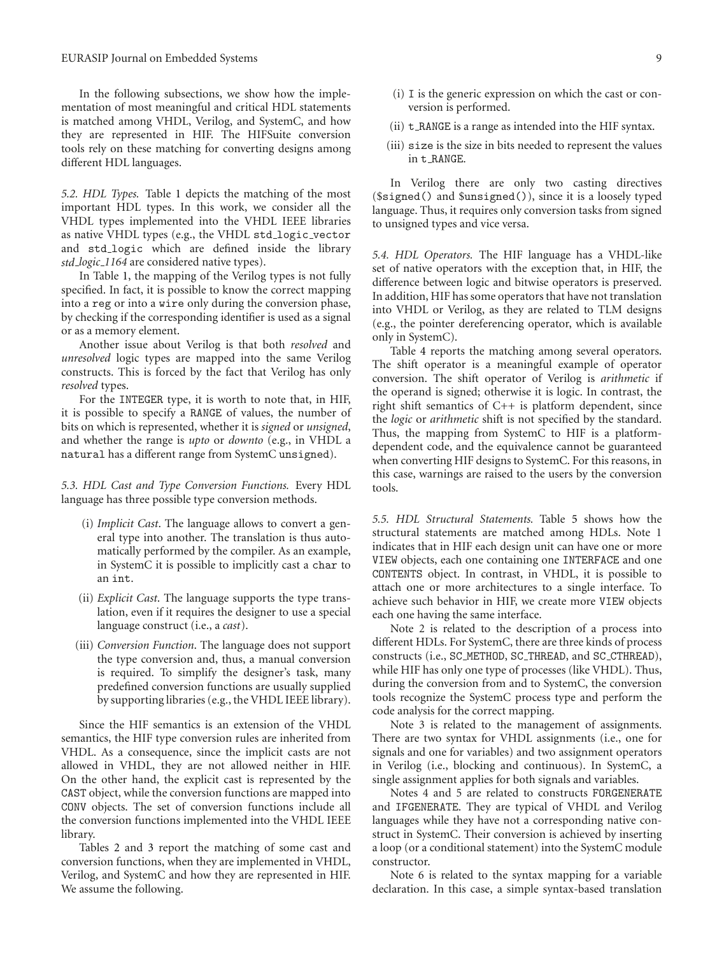#### EURASIP Journal on Embedded Systems 9

In the following subsections, we show how the implementation of most meaningful and critical HDL statements is matched among VHDL, Verilog, and SystemC, and how they are represented in HIF. The HIFSuite conversion tools rely on these matching for converting designs among different HDL languages.

*5.2. HDL Types.* Table 1 depicts the matching of the most important HDL types. In this work, we consider all the VHDL types implemented into the VHDL IEEE libraries as native VHDL types (e.g., the VHDL std logic vector and std\_logic which are defined inside the library *std logic 1164* are considered native types).

In Table 1, the mapping of the Verilog types is not fully specified. In fact, it is possible to know the correct mapping into a reg or into a wire only during the conversion phase, by checking if the corresponding identifier is used as a signal or as a memory element.

Another issue about Verilog is that both *resolved* and *unresolved* logic types are mapped into the same Verilog constructs. This is forced by the fact that Verilog has only *resolved* types.

For the INTEGER type, it is worth to note that, in HIF, it is possible to specify a RANGE of values, the number of bits on which is represented, whether it is *signed* or *unsigned*, and whether the range is *upto* or *downto* (e.g., in VHDL a natural has a different range from SystemC unsigned).

*5.3. HDL Cast and Type Conversion Functions.* Every HDL language has three possible type conversion methods.

- (i) *Implicit Cast*. The language allows to convert a general type into another. The translation is thus automatically performed by the compiler. As an example, in SystemC it is possible to implicitly cast a char to an int.
- (ii) *Explicit Cast*. The language supports the type translation, even if it requires the designer to use a special language construct (i.e., a *cast*).
- (iii) *Conversion Function*. The language does not support the type conversion and, thus, a manual conversion is required. To simplify the designer's task, many predefined conversion functions are usually supplied by supporting libraries (e.g., the VHDL IEEE library).

Since the HIF semantics is an extension of the VHDL semantics, the HIF type conversion rules are inherited from VHDL. As a consequence, since the implicit casts are not allowed in VHDL, they are not allowed neither in HIF. On the other hand, the explicit cast is represented by the CAST object, while the conversion functions are mapped into CONV objects. The set of conversion functions include all the conversion functions implemented into the VHDL IEEE library.

Tables 2 and 3 report the matching of some cast and conversion functions, when they are implemented in VHDL, Verilog, and SystemC and how they are represented in HIF. We assume the following.

- (i) I is the generic expression on which the cast or conversion is performed.
- (ii) t RANGE is a range as intended into the HIF syntax.
- (iii) size is the size in bits needed to represent the values in t RANGE.

In Verilog there are only two casting directives (\$signed() and \$unsigned()), since it is a loosely typed language. Thus, it requires only conversion tasks from signed to unsigned types and vice versa.

*5.4. HDL Operators.* The HIF language has a VHDL-like set of native operators with the exception that, in HIF, the difference between logic and bitwise operators is preserved. In addition, HIF has some operators that have not translation into VHDL or Verilog, as they are related to TLM designs (e.g., the pointer dereferencing operator, which is available only in SystemC).

Table 4 reports the matching among several operators. The shift operator is a meaningful example of operator conversion. The shift operator of Verilog is *arithmetic* if the operand is signed; otherwise it is logic. In contrast, the right shift semantics of C++ is platform dependent, since the *logic* or *arithmetic* shift is not specified by the standard. Thus, the mapping from SystemC to HIF is a platformdependent code, and the equivalence cannot be guaranteed when converting HIF designs to SystemC. For this reasons, in this case, warnings are raised to the users by the conversion tools.

*5.5. HDL Structural Statements.* Table 5 shows how the structural statements are matched among HDLs. Note 1 indicates that in HIF each design unit can have one or more VIEW objects, each one containing one INTERFACE and one CONTENTS object. In contrast, in VHDL, it is possible to attach one or more architectures to a single interface. To achieve such behavior in HIF, we create more VIEW objects each one having the same interface.

Note 2 is related to the description of a process into different HDLs. For SystemC, there are three kinds of process constructs (i.e., SC METHOD, SC THREAD, and SC CTHREAD), while HIF has only one type of processes (like VHDL). Thus, during the conversion from and to SystemC, the conversion tools recognize the SystemC process type and perform the code analysis for the correct mapping.

Note 3 is related to the management of assignments. There are two syntax for VHDL assignments (i.e., one for signals and one for variables) and two assignment operators in Verilog (i.e., blocking and continuous). In SystemC, a single assignment applies for both signals and variables.

Notes 4 and 5 are related to constructs FORGENERATE and IFGENERATE. They are typical of VHDL and Verilog languages while they have not a corresponding native construct in SystemC. Their conversion is achieved by inserting a loop (or a conditional statement) into the SystemC module constructor.

Note 6 is related to the syntax mapping for a variable declaration. In this case, a simple syntax-based translation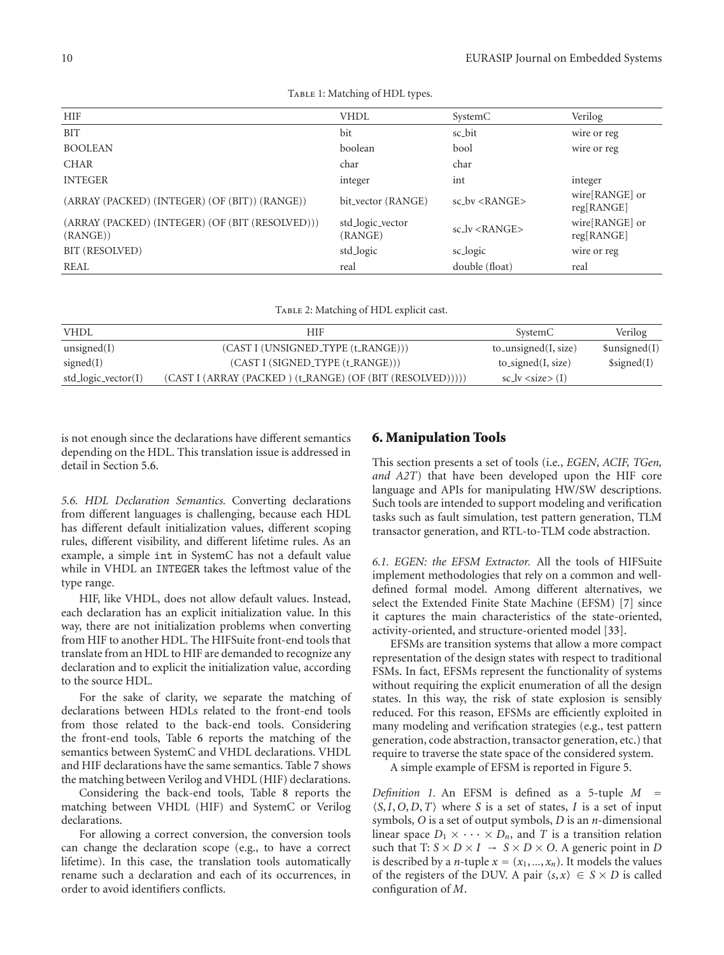| <b>HIF</b>                                                 | <b>VHDL</b>                 | SystemC                   | Verilog                      |
|------------------------------------------------------------|-----------------------------|---------------------------|------------------------------|
| <b>BIT</b>                                                 | bit                         | sc_bit                    | wire or reg                  |
| <b>BOOLEAN</b>                                             | boolean                     | bool                      | wire or reg                  |
| <b>CHAR</b>                                                | char                        | char                      |                              |
| <b>INTEGER</b>                                             | integer                     | int                       | integer                      |
| (ARRAY (PACKED) (INTEGER) (OF (BIT)) (RANGE))              | bit_vector (RANGE)          | sc by $\langle$ RANGE $>$ | wire[RANGE] or<br>reg[RANGE] |
| (ARRAY (PACKED) (INTEGER) (OF (BIT (RESOLVED)))<br>(RANGE) | std_logic_vector<br>(RANGE) | sc $\{v \leq R\}$ $R$     | wire[RANGE] or<br>reg[RANGE] |
| BIT (RESOLVED)                                             | std_logic                   | sclogic                   | wire or reg                  |
| REAL                                                       | real                        | double (float)            | real                         |

TABLE 1: Matching of HDL types.

Table 2: Matching of HDL explicit cast.

| <b>VHDL</b>             | HIF                                                       | SystemC                 | Verilog      |
|-------------------------|-----------------------------------------------------------|-------------------------|--------------|
| unsigned $(I)$          | $(CAST I (UNSIGNED_TYPE (t_RANGE)))$                      | to_unsigned $(I, size)$ | sunsigned(I) |
| signed $(I)$            | $(CAST I (SIGNED_TYPE (t_RANGE)))$                        | to_signed $(I, size)$   | $\sigma\$    |
| $std\_logic\_vector(I)$ | (CAST I (ARRAY (PACKED) (t_RANGE) (OF (BIT (RESOLVED))))) | $sc_l v < size > (1)$   |              |

is not enough since the declarations have different semantics depending on the HDL. This translation issue is addressed in detail in Section 5.6.

*5.6. HDL Declaration Semantics.* Converting declarations from different languages is challenging, because each HDL has different default initialization values, different scoping rules, different visibility, and different lifetime rules. As an example, a simple int in SystemC has not a default value while in VHDL an INTEGER takes the leftmost value of the type range.

HIF, like VHDL, does not allow default values. Instead, each declaration has an explicit initialization value. In this way, there are not initialization problems when converting from HIF to another HDL. The HIFSuite front-end tools that translate from an HDL to HIF are demanded to recognize any declaration and to explicit the initialization value, according to the source HDL.

For the sake of clarity, we separate the matching of declarations between HDLs related to the front-end tools from those related to the back-end tools. Considering the front-end tools, Table 6 reports the matching of the semantics between SystemC and VHDL declarations. VHDL and HIF declarations have the same semantics. Table 7 shows the matching between Verilog and VHDL (HIF) declarations.

Considering the back-end tools, Table 8 reports the matching between VHDL (HIF) and SystemC or Verilog declarations.

For allowing a correct conversion, the conversion tools can change the declaration scope (e.g., to have a correct lifetime). In this case, the translation tools automatically rename such a declaration and each of its occurrences, in order to avoid identifiers conflicts.

## **6. Manipulation Tools**

This section presents a set of tools (i.e., *EGEN*, *ACIF, TGen, and A2T*) that have been developed upon the HIF core language and APIs for manipulating HW/SW descriptions. Such tools are intended to support modeling and verification tasks such as fault simulation, test pattern generation, TLM transactor generation, and RTL-to-TLM code abstraction.

*6.1. EGEN: the EFSM Extractor.* All the tools of HIFSuite implement methodologies that rely on a common and welldefined formal model. Among different alternatives, we select the Extended Finite State Machine (EFSM) [7] since it captures the main characteristics of the state-oriented, activity-oriented, and structure-oriented model [33].

EFSMs are transition systems that allow a more compact representation of the design states with respect to traditional FSMs. In fact, EFSMs represent the functionality of systems without requiring the explicit enumeration of all the design states. In this way, the risk of state explosion is sensibly reduced. For this reason, EFSMs are efficiently exploited in many modeling and verification strategies (e.g., test pattern generation, code abstraction, transactor generation, etc.) that require to traverse the state space of the considered system.

A simple example of EFSM is reported in Figure 5.

*Definition 1.* An EFSM is defined as a 5-tuple  $M =$  $\langle S, I, O, D, T \rangle$  where *S* is a set of states, *I* is a set of input symbols, *O* is a set of output symbols, *D* is an *n*-dimensional linear space  $D_1 \times \cdots \times D_n$ , and *T* is a transition relation such that T:  $S \times D \times I \rightarrow S \times D \times O$ . A generic point in *D* is described by a *n*-tuple  $x = (x_1, ..., x_n)$ . It models the values of the registers of the DUV. A pair  $\langle s, x \rangle \in S \times D$  is called configuration of *M*.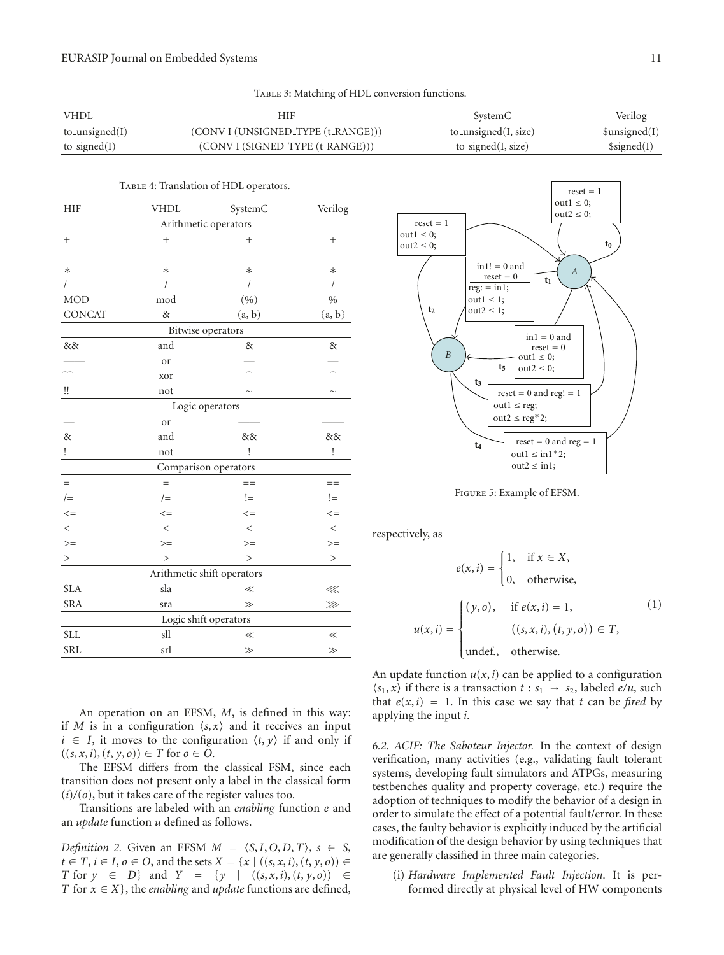| <b>VHDL</b><br>HIF |                                    | SystemC               | Verilog      |
|--------------------|------------------------------------|-----------------------|--------------|
| to_unsigned $(I)$  | (CONV I (UNSIGNED_TYPE (t_RANGE))) | to_unsigned(I, size)  | sumsigned(I) |
| to_signed $(I)$    | (CONV I (SIGNED_TYPE (t_RANGE)))   | to_signed $(I, size)$ | $\sigma\$    |

TABLE 4: Translation of HDL operators.

| <b>HIF</b>     | <b>VHDL</b> | SystemC                    |                |
|----------------|-------------|----------------------------|----------------|
|                |             | Arithmetic operators       |                |
| $^{+}$         | $^{+}$      | $^{+}$                     | $^+$           |
|                |             |                            |                |
| $\ast$         | $\ast$      | $\ast$                     | $\ast$         |
| T              | $\sqrt{2}$  | 1                          | 1              |
| <b>MOD</b>     | mod         | (9/0)                      | $\frac{0}{0}$  |
| <b>CONCAT</b>  | 8x          | (a, b)                     | ${a, b}$       |
|                |             | Bitwise operators          |                |
| &&             | and         | 8 <sup>x</sup>             | 8 <sup>x</sup> |
|                | or          |                            |                |
|                | xor         |                            |                |
| !!             | not         |                            |                |
|                |             | Logic operators            |                |
|                | or          |                            |                |
| 8 <sub>x</sub> | and         | &&                         | &&             |
| Ţ              | not         | Ţ                          | ļ              |
|                |             | Comparison operators       |                |
| $=$            | $=$         | $==$                       | $==$           |
| $/=\,$         | $/=\,$      | !=                         | !=             |
| $\leq$         | $\leq$      | $\leq$                     | $\leq$         |
| $\,<$          | $\,<$       | $\,<$                      | $\,<$          |
| $>=$           | $>=$        | $>=$                       | $>=$           |
| $\rm{>}$       | $\rm{>}$    | >                          | $\rm{>}$       |
|                |             | Arithmetic shift operators |                |
| <b>SLA</b>     | sla         | $\ll$                      | $\ll$          |
| <b>SRA</b>     | sra         | ≫                          | ⋙              |
|                |             | Logic shift operators      |                |
| <b>SLL</b>     | sll         | $\ll$                      | $\ll$          |
| <b>SRL</b>     | srl         | $>\!\!>$                   | $>\!\!>$       |

An operation on an EFSM, *M*, is defined in this way: if *M* is in a configuration  $\langle s, x \rangle$  and it receives an input  $i \in I$ , it moves to the configuration  $\langle t, y \rangle$  if and only if  $((s, x, i), (t, y, o)) \in T$  for  $o \in O$ .

The EFSM differs from the classical FSM, since each transition does not present only a label in the classical form (*i*)*/*(*o*), but it takes care of the register values too.

Transitions are labeled with an *enabling* function *e* and an *update* function *u* defined as follows.

*Definition 2.* Given an EFSM  $M = \langle S, I, O, D, T \rangle$ ,  $s \in S$ , *t* ∈ *T*, *i* ∈ *I*, *o* ∈ *O*, and the sets *X* = {*x* | ((*s*, *x*, *i*), (*t*, *y*, *o*)) ∈ *T* for  $y \in D$ } and  $Y = \{y \mid ((s, x, i), (t, y, o)) \in$ *T* for  $x \in X$ , the *enabling* and *update* functions are defined,



Figure 5: Example of EFSM.

respectively, as

$$
e(x, i) = \begin{cases} 1, & \text{if } x \in X, \\ 0, & \text{otherwise,} \end{cases}
$$
  

$$
u(x, i) = \begin{cases} (y, o), & \text{if } e(x, i) = 1, \\ & ((s, x, i), (t, y, o)) \in T, \\ \text{undefined}, & \text{otherwise.} \end{cases}
$$
 (1)

An update function  $u(x, i)$  can be applied to a configuration  $\langle s_1, x \rangle$  if there is a transaction  $t : s_1 \rightarrow s_2$ , labeled  $e/u$ , such that  $e(x, i) = 1$ . In this case we say that *t* can be *fired* by applying the input *i*.

*6.2. ACIF: The Saboteur Injector.* In the context of design verification, many activities (e.g., validating fault tolerant systems, developing fault simulators and ATPGs, measuring testbenches quality and property coverage, etc.) require the adoption of techniques to modify the behavior of a design in order to simulate the effect of a potential fault/error. In these cases, the faulty behavior is explicitly induced by the artificial modification of the design behavior by using techniques that are generally classified in three main categories.

(i) *Hardware Implemented Fault Injection*. It is performed directly at physical level of HW components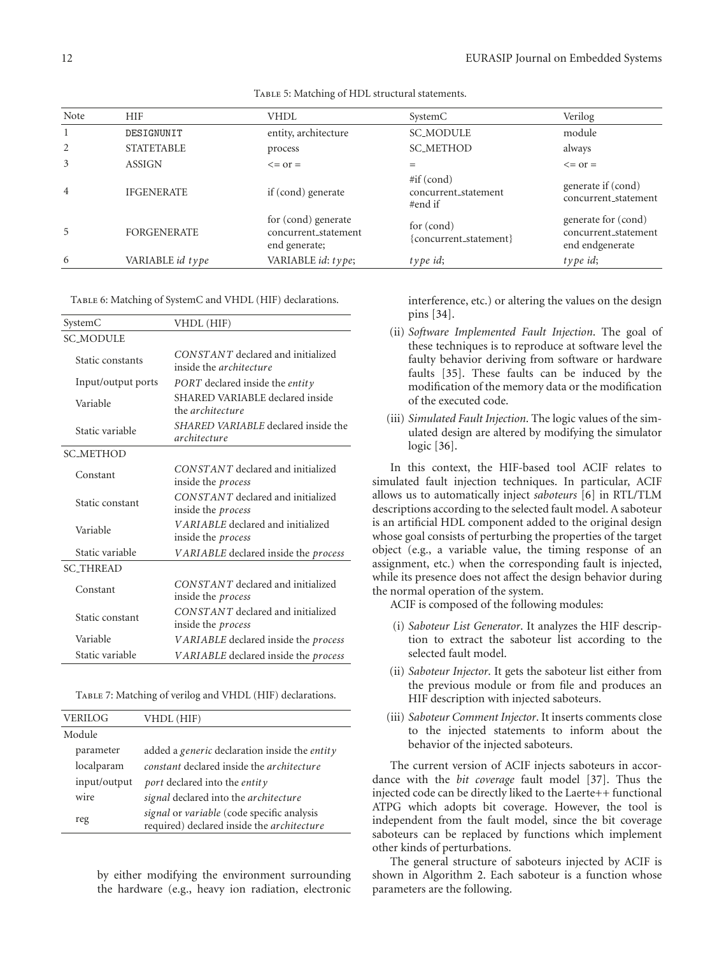| Note           | <b>HIF</b>         | VHDL                                                         | SystemC                                           | Verilog                                                        |
|----------------|--------------------|--------------------------------------------------------------|---------------------------------------------------|----------------------------------------------------------------|
|                | DESIGNUNIT         | entity, architecture                                         | <b>SC_MODULE</b>                                  | module                                                         |
|                | <b>STATETABLE</b>  | process                                                      | <b>SC_METHOD</b>                                  | always                                                         |
|                | <b>ASSIGN</b>      | $\leq$ or $=$                                                | $=$                                               | $\leq$ or $=$                                                  |
| $\overline{4}$ | <b>IFGENERATE</b>  | if (cond) generate                                           | $\#$ if (cond)<br>concurrent statement<br>#end if | generate if (cond)<br>concurrent_statement                     |
|                | <b>FORGENERATE</b> | for (cond) generate<br>concurrent statement<br>end generate; | for (cond)<br>{concurrent_statement}              | generate for (cond)<br>concurrent statement<br>end endgenerate |
| 6              | VARIABLE id type   | VARIABLE id: type;                                           | $type$ id;                                        | $type$ id;                                                     |

TABLE 5: Matching of HDL structural statements.

TABLE 6: Matching of SystemC and VHDL (HIF) declarations.

| SystemC            | VHDL (HIF)                                                          |
|--------------------|---------------------------------------------------------------------|
| <b>SC_MODULE</b>   |                                                                     |
| Static constants   | CONSTANT declared and initialized<br>inside the <i>architecture</i> |
| Input/output ports | PORT declared inside the <i>entity</i>                              |
| Variable           | SHARED VARIABLE declared inside<br>the <i>architecture</i>          |
| Static variable    | SHARED VARIABLE declared inside the<br>architecture                 |
| <b>SC METHOD</b>   |                                                                     |
| Constant           | CONSTANT declared and initialized<br>inside the <i>process</i>      |
| Static constant    | CONSTANT declared and initialized<br>inside the <i>process</i>      |
| Variable           | VARIABLE declared and initialized<br>inside the <i>process</i>      |
| Static variable    | <i>VARIABLE</i> declared inside the <i>process</i>                  |
| <b>SC_THREAD</b>   |                                                                     |
| Constant           | CONSTANT declared and initialized<br>inside the <i>process</i>      |
| Static constant    | CONSTANT declared and initialized<br>inside the <i>process</i>      |
| Variable           | <i>VARIABLE</i> declared inside the <i>process</i>                  |
| Static variable    | VARIABLE declared inside the process                                |

TABLE 7: Matching of verilog and VHDL (HIF) declarations.

| <b>VERILOG</b> | VHDL (HIF)                                                                               |
|----------------|------------------------------------------------------------------------------------------|
| Module         |                                                                                          |
| parameter      | added a <i>generic</i> declaration inside the <i>entity</i>                              |
| localparam     | constant declared inside the architecture                                                |
| input/output   | port declared into the entity                                                            |
| wire           | signal declared into the architecture                                                    |
| reg            | signal or variable (code specific analysis<br>required) declared inside the architecture |

by either modifying the environment surrounding the hardware (e.g., heavy ion radiation, electronic interference, etc.) or altering the values on the design pins [34].

- (ii) *Software Implemented Fault Injection*. The goal of these techniques is to reproduce at software level the faulty behavior deriving from software or hardware faults [35]. These faults can be induced by the modification of the memory data or the modification of the executed code.
- (iii) *Simulated Fault Injection*. The logic values of the simulated design are altered by modifying the simulator logic [36].

In this context, the HIF-based tool ACIF relates to simulated fault injection techniques. In particular, ACIF allows us to automatically inject *saboteurs* [6] in RTL/TLM descriptions according to the selected fault model. A saboteur is an artificial HDL component added to the original design whose goal consists of perturbing the properties of the target object (e.g., a variable value, the timing response of an assignment, etc.) when the corresponding fault is injected, while its presence does not affect the design behavior during the normal operation of the system.

ACIF is composed of the following modules:

- (i) *Saboteur List Generator*. It analyzes the HIF description to extract the saboteur list according to the selected fault model.
- (ii) *Saboteur Injector*. It gets the saboteur list either from the previous module or from file and produces an HIF description with injected saboteurs.
- (iii) *Saboteur Comment Injector*. It inserts comments close to the injected statements to inform about the behavior of the injected saboteurs.

The current version of ACIF injects saboteurs in accordance with the *bit coverage* fault model [37]. Thus the injected code can be directly liked to the Laerte++ functional ATPG which adopts bit coverage. However, the tool is independent from the fault model, since the bit coverage saboteurs can be replaced by functions which implement other kinds of perturbations.

The general structure of saboteurs injected by ACIF is shown in Algorithm 2. Each saboteur is a function whose parameters are the following.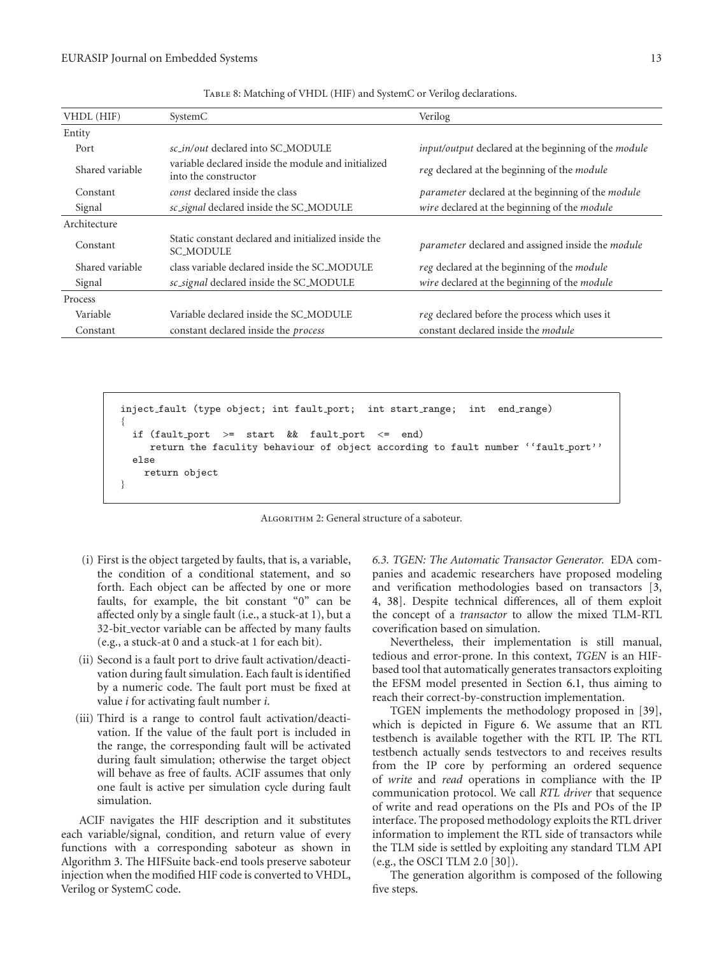| VHDL (HIF)      | SystemC                                                                     | Verilog                                                            |
|-----------------|-----------------------------------------------------------------------------|--------------------------------------------------------------------|
| Entity          |                                                                             |                                                                    |
| Port            | sc in/out declared into SC MODULE                                           | <i>input/output</i> declared at the beginning of the <i>module</i> |
| Shared variable | variable declared inside the module and initialized<br>into the constructor | reg declared at the beginning of the module                        |
| Constant        | const declared inside the class                                             | parameter declared at the beginning of the module                  |
| Signal          | sc_signal declared inside the SC_MODULE                                     | wire declared at the beginning of the module                       |
| Architecture    |                                                                             |                                                                    |
| Constant        | Static constant declared and initialized inside the<br><b>SC_MODULE</b>     | <i>parameter</i> declared and assigned inside the <i>module</i>    |
| Shared variable | class variable declared inside the SC_MODULE                                | <i>reg</i> declared at the beginning of the <i>module</i>          |
| Signal          | sc_signal declared inside the SC_MODULE                                     | wire declared at the beginning of the <i>module</i>                |
| Process         |                                                                             |                                                                    |
| Variable        | Variable declared inside the SC_MODULE                                      | reg declared before the process which uses it                      |
| Constant        | constant declared inside the <i>process</i>                                 | constant declared inside the <i>module</i>                         |

Table 8: Matching of VHDL (HIF) and SystemC or Verilog declarations.

```
inject fault (type object; int fault port; int start range; int end range)
{
  if (fault port >= start && fault port <= end)
    return the faculity behaviour of object according to fault number ''fault port''
  else
   return object
}
```
#### ALGORITHM 2: General structure of a saboteur.

- (i) First is the object targeted by faults, that is, a variable, the condition of a conditional statement, and so forth. Each object can be affected by one or more faults, for example, the bit constant "0" can be affected only by a single fault (i.e., a stuck-at 1), but a 32-bit vector variable can be affected by many faults (e.g., a stuck-at 0 and a stuck-at 1 for each bit).
- (ii) Second is a fault port to drive fault activation/deactivation during fault simulation. Each fault is identified by a numeric code. The fault port must be fixed at value *i* for activating fault number *i*.
- (iii) Third is a range to control fault activation/deactivation. If the value of the fault port is included in the range, the corresponding fault will be activated during fault simulation; otherwise the target object will behave as free of faults. ACIF assumes that only one fault is active per simulation cycle during fault simulation.

ACIF navigates the HIF description and it substitutes each variable/signal, condition, and return value of every functions with a corresponding saboteur as shown in Algorithm 3. The HIFSuite back-end tools preserve saboteur injection when the modified HIF code is converted to VHDL, Verilog or SystemC code.

*6.3. TGEN: The Automatic Transactor Generator.* EDA companies and academic researchers have proposed modeling and verification methodologies based on transactors [3, 4, 38]. Despite technical differences, all of them exploit the concept of a *transactor* to allow the mixed TLM-RTL coverification based on simulation.

Nevertheless, their implementation is still manual, tedious and error-prone. In this context, *TGEN* is an HIFbased tool that automatically generates transactors exploiting the EFSM model presented in Section 6.1, thus aiming to reach their correct-by-construction implementation.

TGEN implements the methodology proposed in [39], which is depicted in Figure 6. We assume that an RTL testbench is available together with the RTL IP. The RTL testbench actually sends testvectors to and receives results from the IP core by performing an ordered sequence of *write* and *read* operations in compliance with the IP communication protocol. We call *RTL driver* that sequence of write and read operations on the PIs and POs of the IP interface. The proposed methodology exploits the RTL driver information to implement the RTL side of transactors while the TLM side is settled by exploiting any standard TLM API (e.g., the OSCI TLM 2.0 [30]).

The generation algorithm is composed of the following five steps.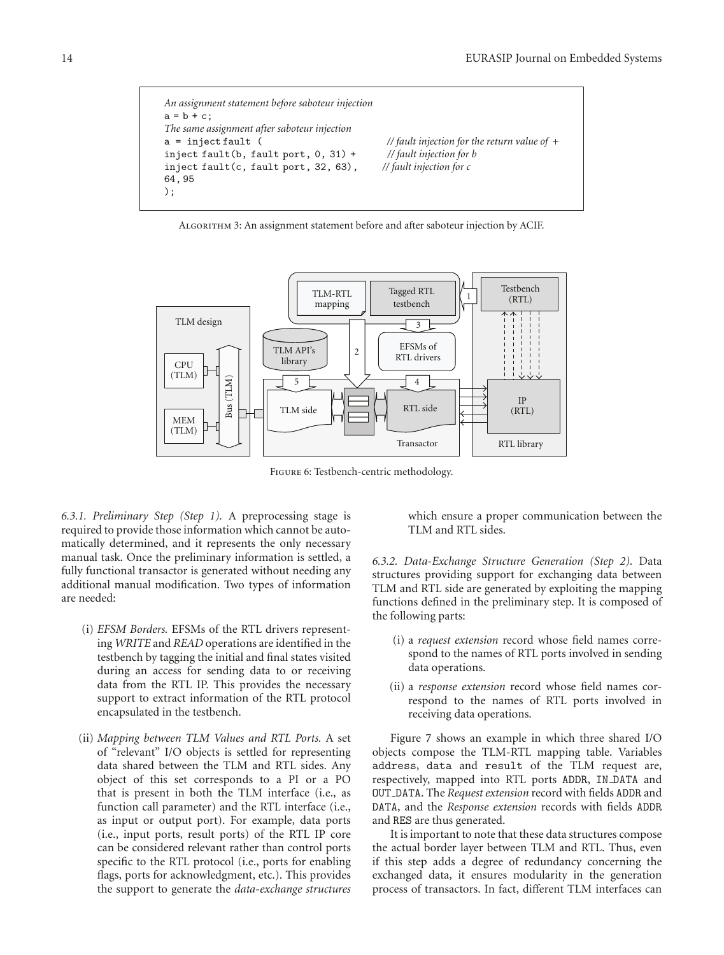*An assignment statement before saboteur injection*  $a = b + c$ ; *The same assignment after saboteur injection* a = inject fault ( *// fault injection for the return value of* + inject fault(b, fault port, 0, 31) + // fault injection for inject fault(c, fault port, 32, 63), // fault injection for c inject fault(c, fault port, 32, 63), 64, 95 );

Algorithm 3: An assignment statement before and after saboteur injection by ACIF.



Figure 6: Testbench-centric methodology.

*6.3.1. Preliminary Step (Step 1).* A preprocessing stage is required to provide those information which cannot be automatically determined, and it represents the only necessary manual task. Once the preliminary information is settled, a fully functional transactor is generated without needing any additional manual modification. Two types of information are needed:

- (i) *EFSM Borders.* EFSMs of the RTL drivers representing *WRITE* and *READ* operations are identified in the testbench by tagging the initial and final states visited during an access for sending data to or receiving data from the RTL IP. This provides the necessary support to extract information of the RTL protocol encapsulated in the testbench.
- (ii) *Mapping between TLM Values and RTL Ports.* A set of "relevant" I/O objects is settled for representing data shared between the TLM and RTL sides. Any object of this set corresponds to a PI or a PO that is present in both the TLM interface (i.e., as function call parameter) and the RTL interface (i.e., as input or output port). For example, data ports (i.e., input ports, result ports) of the RTL IP core can be considered relevant rather than control ports specific to the RTL protocol (i.e., ports for enabling flags, ports for acknowledgment, etc.). This provides the support to generate the *data-exchange structures*

which ensure a proper communication between the TLM and RTL sides.

*6.3.2. Data-Exchange Structure Generation (Step 2).* Data structures providing support for exchanging data between TLM and RTL side are generated by exploiting the mapping functions defined in the preliminary step. It is composed of the following parts:

- (i) a *request extension* record whose field names correspond to the names of RTL ports involved in sending data operations.
- (ii) a *response extension* record whose field names correspond to the names of RTL ports involved in receiving data operations.

Figure 7 shows an example in which three shared I/O objects compose the TLM-RTL mapping table. Variables address, data and result of the TLM request are, respectively, mapped into RTL ports ADDR, IN DATA and OUT DATA. The *Request extension* record with fields ADDR and DATA, and the *Response extension* records with fields ADDR and RES are thus generated.

It is important to note that these data structures compose the actual border layer between TLM and RTL. Thus, even if this step adds a degree of redundancy concerning the exchanged data, it ensures modularity in the generation process of transactors. In fact, different TLM interfaces can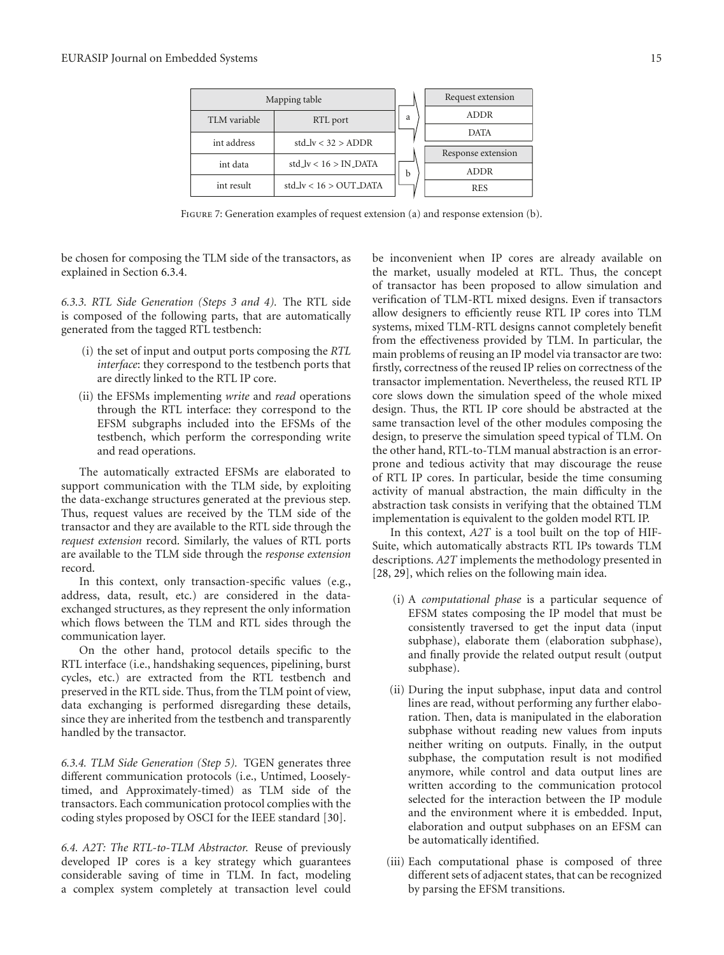| Mapping table |                           |   | Request extension  |
|---------------|---------------------------|---|--------------------|
| TLM variable  | RTL port                  | a | <b>ADDR</b>        |
|               |                           |   | <b>DATA</b>        |
| int address   | std_lv < $32 > ADDR$      |   | Response extension |
| int data      | std_lv < $16 > IN$ _DATA  | b | <b>ADDR</b>        |
| int result    | std_lv < $16 > OUT$ _DATA |   | <b>RES</b>         |

Figure 7: Generation examples of request extension (a) and response extension (b).

be chosen for composing the TLM side of the transactors, as explained in Section 6.3.4.

*6.3.3. RTL Side Generation (Steps 3 and 4).* The RTL side is composed of the following parts, that are automatically generated from the tagged RTL testbench:

- (i) the set of input and output ports composing the *RTL interface*: they correspond to the testbench ports that are directly linked to the RTL IP core.
- (ii) the EFSMs implementing *write* and *read* operations through the RTL interface: they correspond to the EFSM subgraphs included into the EFSMs of the testbench, which perform the corresponding write and read operations.

The automatically extracted EFSMs are elaborated to support communication with the TLM side, by exploiting the data-exchange structures generated at the previous step. Thus, request values are received by the TLM side of the transactor and they are available to the RTL side through the *request extension* record. Similarly, the values of RTL ports are available to the TLM side through the *response extension* record.

In this context, only transaction-specific values (e.g., address, data, result, etc.) are considered in the dataexchanged structures, as they represent the only information which flows between the TLM and RTL sides through the communication layer.

On the other hand, protocol details specific to the RTL interface (i.e., handshaking sequences, pipelining, burst cycles, etc.) are extracted from the RTL testbench and preserved in the RTL side. Thus, from the TLM point of view, data exchanging is performed disregarding these details, since they are inherited from the testbench and transparently handled by the transactor.

*6.3.4. TLM Side Generation (Step 5).* TGEN generates three different communication protocols (i.e., Untimed, Looselytimed, and Approximately-timed) as TLM side of the transactors. Each communication protocol complies with the coding styles proposed by OSCI for the IEEE standard [30].

*6.4. A2T: The RTL-to-TLM Abstractor.* Reuse of previously developed IP cores is a key strategy which guarantees considerable saving of time in TLM. In fact, modeling a complex system completely at transaction level could

be inconvenient when IP cores are already available on the market, usually modeled at RTL. Thus, the concept of transactor has been proposed to allow simulation and verification of TLM-RTL mixed designs. Even if transactors allow designers to efficiently reuse RTL IP cores into TLM systems, mixed TLM-RTL designs cannot completely benefit from the effectiveness provided by TLM. In particular, the main problems of reusing an IP model via transactor are two: firstly, correctness of the reused IP relies on correctness of the transactor implementation. Nevertheless, the reused RTL IP core slows down the simulation speed of the whole mixed design. Thus, the RTL IP core should be abstracted at the same transaction level of the other modules composing the design, to preserve the simulation speed typical of TLM. On the other hand, RTL-to-TLM manual abstraction is an errorprone and tedious activity that may discourage the reuse of RTL IP cores. In particular, beside the time consuming activity of manual abstraction, the main difficulty in the abstraction task consists in verifying that the obtained TLM implementation is equivalent to the golden model RTL IP.

In this context, *A2T* is a tool built on the top of HIF-Suite, which automatically abstracts RTL IPs towards TLM descriptions. *A2T* implements the methodology presented in [28, 29], which relies on the following main idea.

- (i) A *computational phase* is a particular sequence of EFSM states composing the IP model that must be consistently traversed to get the input data (input subphase), elaborate them (elaboration subphase), and finally provide the related output result (output subphase).
- (ii) During the input subphase, input data and control lines are read, without performing any further elaboration. Then, data is manipulated in the elaboration subphase without reading new values from inputs neither writing on outputs. Finally, in the output subphase, the computation result is not modified anymore, while control and data output lines are written according to the communication protocol selected for the interaction between the IP module and the environment where it is embedded. Input, elaboration and output subphases on an EFSM can be automatically identified.
- (iii) Each computational phase is composed of three different sets of adjacent states, that can be recognized by parsing the EFSM transitions.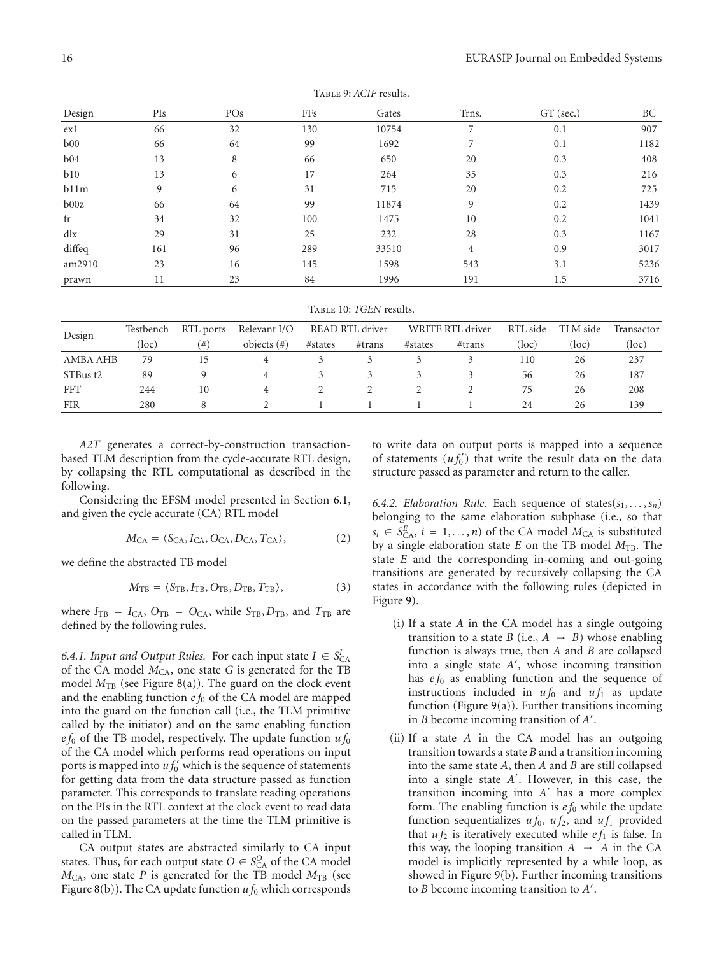| Design      | PIs | PO <sub>s</sub> | FFs | Gates | Trns. | GT (sec.) | BC   |
|-------------|-----|-----------------|-----|-------|-------|-----------|------|
| ex1         | 66  | 32              | 130 | 10754 |       | 0.1       | 907  |
| b00         | 66  | 64              | 99  | 1692  |       | 0.1       | 1182 |
| b04         | 13  | 8               | 66  | 650   | 20    | 0.3       | 408  |
| b10         | 13  | 6               | 17  | 264   | 35    | 0.3       | 216  |
| bl1m        | 9   | 6               | 31  | 715   | 20    | 0.2       | 725  |
| b00z        | 66  | 64              | 99  | 11874 | 9     | 0.2       | 1439 |
| $_{\rm fr}$ | 34  | 32              | 100 | 1475  | 10    | 0.2       | 1041 |
| dlx         | 29  | 31              | 25  | 232   | 28    | 0.3       | 1167 |
| diffeq      | 161 | 96              | 289 | 33510 | 4     | 0.9       | 3017 |
| am2910      | 23  | 16              | 145 | 1598  | 543   | 3.1       | 5236 |
| prawn       | 11  | 23              | 84  | 1996  | 191   | 1.5       | 3716 |

Table 9: *ACIF* results.

Table 10: *TGEN* results.

| Design              | Testbench | RTL ports | Relevant I/O   |         | READ RTL driver |         | WRITE RTL driver | RTL side | TLM side | Transactor |
|---------------------|-----------|-----------|----------------|---------|-----------------|---------|------------------|----------|----------|------------|
|                     | (loc)     | (#`       | objects $($ #) | #states | #trans          | #states | #trans           | (loc)    | (loc)    | (loc)      |
| AMBA AHB            | 79        |           |                |         |                 |         |                  | 110      | 26       | 237        |
| STBus <sub>t2</sub> | 89        |           |                |         |                 |         |                  | 56       | 26       | 187        |
| <b>FFT</b>          | 244       | 10        |                |         |                 |         |                  | 75       | 26       | 208        |
| <b>FIR</b>          | 280       | 8         |                |         |                 |         |                  | 24       | 26       | 139        |

*A2T* generates a correct-by-construction transactionbased TLM description from the cycle-accurate RTL design, by collapsing the RTL computational as described in the following.

Considering the EFSM model presented in Section 6.1, and given the cycle accurate (CA) RTL model

$$
M_{\text{CA}} = \langle S_{\text{CA}}, I_{\text{CA}}, O_{\text{CA}}, D_{\text{CA}}, T_{\text{CA}} \rangle, \tag{2}
$$

we define the abstracted TB model

$$
M_{\text{TB}} = \langle S_{\text{TB}}, I_{\text{TB}}, O_{\text{TB}}, D_{\text{TB}}, T_{\text{TB}} \rangle, \tag{3}
$$

where  $I_{\text{TB}} = I_{\text{CA}}$ ,  $O_{\text{TB}} = O_{\text{CA}}$ , while  $S_{\text{TB}}$ ,  $D_{\text{TB}}$ , and  $T_{\text{TB}}$  are defined by the following rules.

*6.4.1. Input and Output Rules.* For each input state  $I \in S_{CA}^I$ of the CA model  $M<sub>CA</sub>$ , one state G is generated for the TB model  $M_{\text{TB}}$  (see Figure 8(a)). The guard on the clock event and the enabling function  $e f_0$  of the CA model are mapped into the guard on the function call (i.e., the TLM primitive called by the initiator) and on the same enabling function  $ef_0$  of the TB model, respectively. The update function  $uf_0$ of the CA model which performs read operations on input ports is mapped into  $uf_0'$  which is the sequence of statements for getting data from the data structure passed as function parameter. This corresponds to translate reading operations on the PIs in the RTL context at the clock event to read data on the passed parameters at the time the TLM primitive is called in TLM.

CA output states are abstracted similarly to CA input states. Thus, for each output state  $O \in S_{CA}^O$  of the CA model  $M<sub>CA</sub>$ , one state *P* is generated for the TB model  $M<sub>TB</sub>$  (see Figure  $8(b)$ ). The CA update function  $uf_0$  which corresponds

to write data on output ports is mapped into a sequence of statements  $(u f_0')$  that write the result data on the data structure passed as parameter and return to the caller.

6.4.2. *Elaboration Rule.* Each sequence of states( $s_1, \ldots, s_n$ ) belonging to the same elaboration subphase (i.e., so that  $s_i \in S_{CA}^E$ ,  $i = 1,...,n$  of the CA model  $M_{CA}$  is substituted by a single elaboration state  $E$  on the TB model  $M_{TB}$ . The state *E* and the corresponding in-coming and out-going transitions are generated by recursively collapsing the CA states in accordance with the following rules (depicted in Figure 9).

- (i) If a state *A* in the CA model has a single outgoing transition to a state *B* (i.e.,  $A \rightarrow B$ ) whose enabling function is always true, then *A* and *B* are collapsed into a single state *A* , whose incoming transition has *e f*<sub>0</sub> as enabling function and the sequence of instructions included in  $uf_0$  and  $uf_1$  as update function (Figure  $9(a)$ ). Further transitions incoming in *B* become incoming transition of *A* .
- (ii) If a state *A* in the CA model has an outgoing transition towards a state *B* and a transition incoming into the same state *A*, then *A* and *B* are still collapsed into a single state *A* . However, in this case, the transition incoming into *A* has a more complex form. The enabling function is  $ef_0$  while the update function sequentializes  $uf_0$ ,  $uf_2$ , and  $uf_1$  provided that  $uf_2$  is iteratively executed while  $ef_1$  is false. In this way, the looping transition  $A \rightarrow A$  in the CA model is implicitly represented by a while loop, as showed in Figure 9(b). Further incoming transitions to *B* become incoming transition to *A* .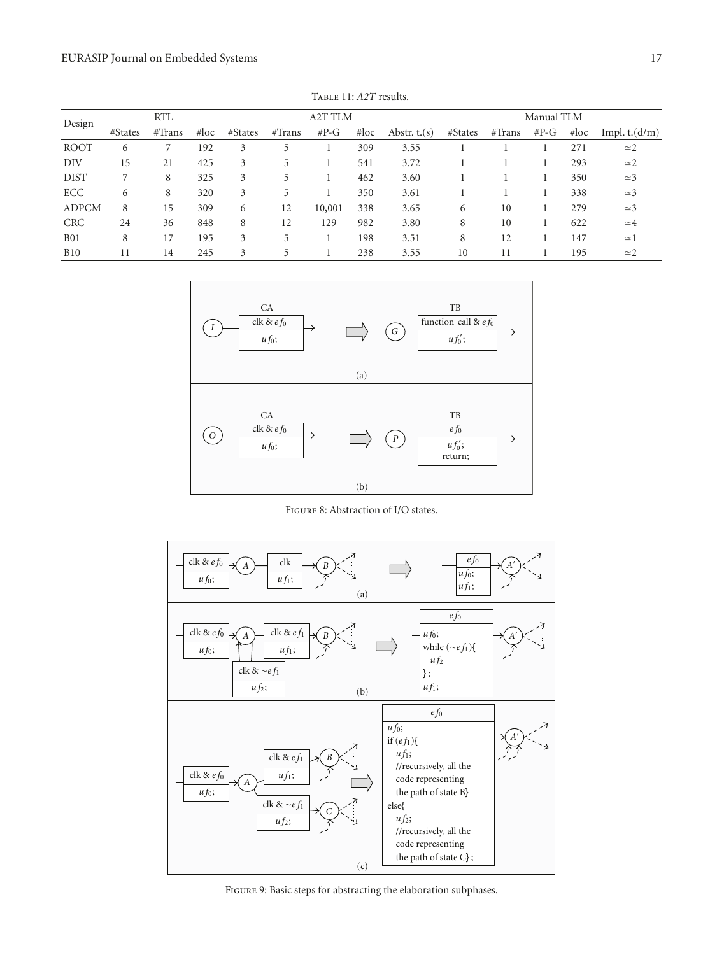| TABLE 11: A2T results. |            |        |         |         |        |        |         |                |            |        |      |         |                 |
|------------------------|------------|--------|---------|---------|--------|--------|---------|----------------|------------|--------|------|---------|-----------------|
| Design                 | <b>RTL</b> |        |         | A2T TLM |        |        |         |                | Manual TLM |        |      |         |                 |
|                        | #States    | #Trans | $\#loc$ | #States | #Trans | #P-G   | $\#loc$ | Abstr. $t.(s)$ | #States    | #Trans | #P-G | # $loc$ | Impl. $t.(d/m)$ |
| <b>ROOT</b>            | 6          | 7      | 192     | 3       | 5      |        | 309     | 3.55           |            |        |      | 271     | $\simeq$ 2      |
| DIV                    | 15         | 21     | 425     | 3       | 5      |        | 541     | 3.72           |            |        |      | 293     | $\simeq$ 2      |
| <b>DIST</b>            |            | 8      | 325     | 3       | 5.     |        | 462     | 3.60           |            |        |      | 350     | $\simeq$ 3      |
| ECC                    | 6          | 8      | 320     | 3       | 5      |        | 350     | 3.61           |            |        |      | 338     | $\simeq$ 3      |
| <b>ADPCM</b>           | 8          | 15     | 309     | 6       | 12     | 10,001 | 338     | 3.65           | 6          | 10     |      | 279     | $\simeq$ 3      |
| <b>CRC</b>             | 24         | 36     | 848     | 8       | 12     | 129    | 982     | 3.80           | 8          | 10     |      | 622     | $\simeq$ 4      |
| <b>B01</b>             | 8          | 17     | 195     | 3       | 5      |        | 198     | 3.51           | 8          | 12     |      | 147     | $\simeq$ 1      |
| <b>B10</b>             |            | 14     | 245     | 3       | 5      |        | 238     | 3.55           | 10         | 11     |      | 195     | $\simeq$ 2      |



FIGURE 8: Abstraction of I/O states.



FIGURE 9: Basic steps for abstracting the elaboration subphases.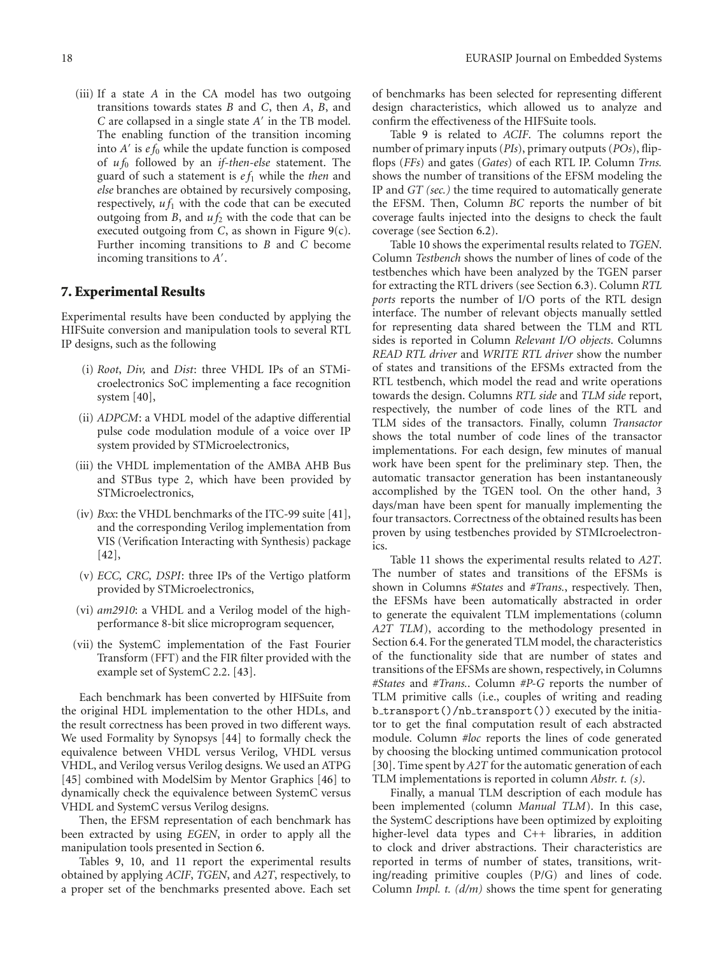(iii) If a state *A* in the CA model has two outgoing transitions towards states *B* and *C*, then *A*, *B*, and *C* are collapsed in a single state *A'* in the TB model. The enabling function of the transition incoming into  $A'$  is  $ef_0$  while the update function is composed of *u f*<sup>0</sup> followed by an *if-then-else* statement. The guard of such a statement is *e f*<sup>1</sup> while the *then* and *else* branches are obtained by recursively composing, respectively,  $uf_1$  with the code that can be executed outgoing from *B*, and *u f*<sup>2</sup> with the code that can be executed outgoing from *C*, as shown in Figure 9(c). Further incoming transitions to *B* and *C* become incoming transitions to *A* .

## **7. Experimental Results**

Experimental results have been conducted by applying the HIFSuite conversion and manipulation tools to several RTL IP designs, such as the following

- (i) *Root*, *Div,* and *Dist*: three VHDL IPs of an STMicroelectronics SoC implementing a face recognition system [40],
- (ii) *ADPCM*: a VHDL model of the adaptive differential pulse code modulation module of a voice over IP system provided by STMicroelectronics,
- (iii) the VHDL implementation of the AMBA AHB Bus and STBus type 2, which have been provided by STMicroelectronics,
- (iv) *Bxx*: the VHDL benchmarks of the ITC-99 suite [41], and the corresponding Verilog implementation from VIS (Verification Interacting with Synthesis) package [42],
- (v) *ECC, CRC, DSPI*: three IPs of the Vertigo platform provided by STMicroelectronics,
- (vi) *am2910*: a VHDL and a Verilog model of the highperformance 8-bit slice microprogram sequencer,
- (vii) the SystemC implementation of the Fast Fourier Transform (FFT) and the FIR filter provided with the example set of SystemC 2.2. [43].

Each benchmark has been converted by HIFSuite from the original HDL implementation to the other HDLs, and the result correctness has been proved in two different ways. We used Formality by Synopsys [44] to formally check the equivalence between VHDL versus Verilog, VHDL versus VHDL, and Verilog versus Verilog designs. We used an ATPG [45] combined with ModelSim by Mentor Graphics [46] to dynamically check the equivalence between SystemC versus VHDL and SystemC versus Verilog designs.

Then, the EFSM representation of each benchmark has been extracted by using *EGEN*, in order to apply all the manipulation tools presented in Section 6.

Tables 9, 10, and 11 report the experimental results obtained by applying *ACIF*, *TGEN*, and *A2T*, respectively, to a proper set of the benchmarks presented above. Each set

of benchmarks has been selected for representing different design characteristics, which allowed us to analyze and confirm the effectiveness of the HIFSuite tools.

Table 9 is related to *ACIF*. The columns report the number of primary inputs (*PIs*), primary outputs (*POs*), flipflops (*FFs*) and gates (*Gates*) of each RTL IP. Column *Trns.* shows the number of transitions of the EFSM modeling the IP and *GT (sec.)* the time required to automatically generate the EFSM. Then, Column *BC* reports the number of bit coverage faults injected into the designs to check the fault coverage (see Section 6.2).

Table 10 shows the experimental results related to *TGEN*. Column *Testbench* shows the number of lines of code of the testbenches which have been analyzed by the TGEN parser for extracting the RTL drivers (see Section 6.3). Column *RTL ports* reports the number of I/O ports of the RTL design interface. The number of relevant objects manually settled for representing data shared between the TLM and RTL sides is reported in Column *Relevant I/O objects*. Columns *READ RTL driver* and *WRITE RTL driver* show the number of states and transitions of the EFSMs extracted from the RTL testbench, which model the read and write operations towards the design. Columns *RTL side* and *TLM side* report, respectively, the number of code lines of the RTL and TLM sides of the transactors. Finally, column *Transactor* shows the total number of code lines of the transactor implementations. For each design, few minutes of manual work have been spent for the preliminary step. Then, the automatic transactor generation has been instantaneously accomplished by the TGEN tool. On the other hand, 3 days/man have been spent for manually implementing the four transactors. Correctness of the obtained results has been proven by using testbenches provided by STMIcroelectronics.

Table 11 shows the experimental results related to *A2T*. The number of states and transitions of the EFSMs is shown in Columns *#States* and *#Trans.*, respectively. Then, the EFSMs have been automatically abstracted in order to generate the equivalent TLM implementations (column *A2T TLM*), according to the methodology presented in Section 6.4. For the generated TLM model, the characteristics of the functionality side that are number of states and transitions of the EFSMs are shown, respectively, in Columns *#States* and *#Trans.*. Column *#P-G* reports the number of TLM primitive calls (i.e., couples of writing and reading b\_transport()/nb\_transport()) executed by the initiator to get the final computation result of each abstracted module. Column *#loc* reports the lines of code generated by choosing the blocking untimed communication protocol [30]. Time spent by *A2T* for the automatic generation of each TLM implementations is reported in column *Abstr. t. (s)*.

Finally, a manual TLM description of each module has been implemented (column *Manual TLM*). In this case, the SystemC descriptions have been optimized by exploiting higher-level data types and C++ libraries, in addition to clock and driver abstractions. Their characteristics are reported in terms of number of states, transitions, writing/reading primitive couples (P/G) and lines of code. Column *Impl. t. (d/m)* shows the time spent for generating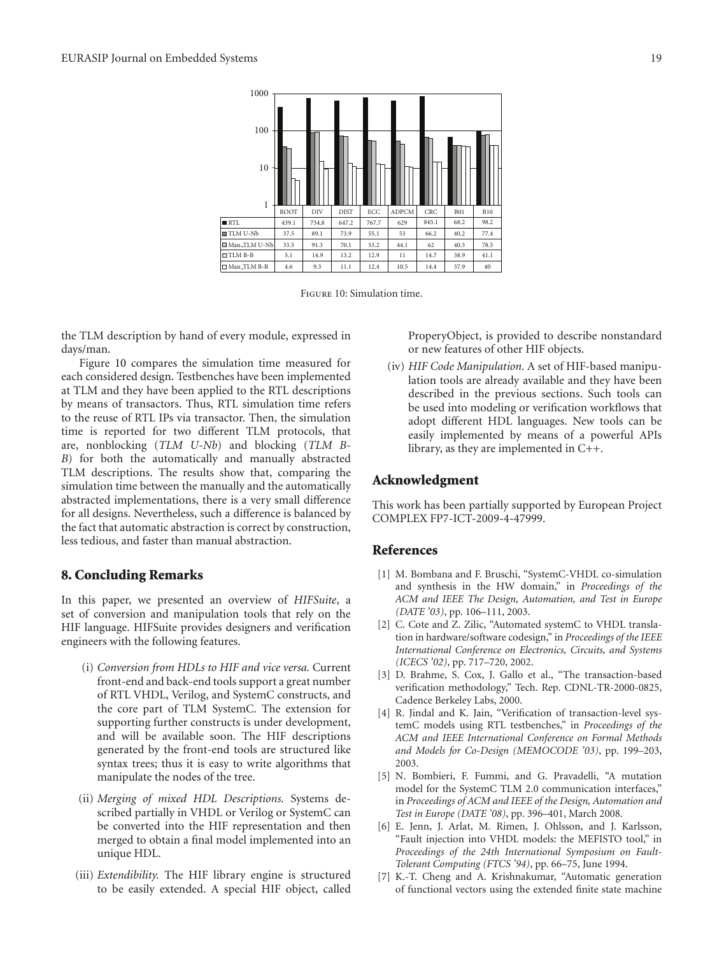

Figure 10: Simulation time.

the TLM description by hand of every module, expressed in days/man.

Figure 10 compares the simulation time measured for each considered design. Testbenches have been implemented at TLM and they have been applied to the RTL descriptions by means of transactors. Thus, RTL simulation time refers to the reuse of RTL IPs via transactor. Then, the simulation time is reported for two different TLM protocols, that are, nonblocking (*TLM U-Nb*) and blocking (*TLM B-B*) for both the automatically and manually abstracted TLM descriptions. The results show that, comparing the simulation time between the manually and the automatically abstracted implementations, there is a very small difference for all designs. Nevertheless, such a difference is balanced by the fact that automatic abstraction is correct by construction, less tedious, and faster than manual abstraction.

#### **8. Concluding Remarks**

In this paper, we presented an overview of *HIFSuite*, a set of conversion and manipulation tools that rely on the HIF language. HIFSuite provides designers and verification engineers with the following features.

- (i) *Conversion from HDLs to HIF and vice versa.* Current front-end and back-end tools support a great number of RTL VHDL, Verilog, and SystemC constructs, and the core part of TLM SystemC. The extension for supporting further constructs is under development, and will be available soon. The HIF descriptions generated by the front-end tools are structured like syntax trees; thus it is easy to write algorithms that manipulate the nodes of the tree.
- (ii) *Merging of mixed HDL Descriptions.* Systems described partially in VHDL or Verilog or SystemC can be converted into the HIF representation and then merged to obtain a final model implemented into an unique HDL.
- (iii) *Extendibility.* The HIF library engine is structured to be easily extended. A special HIF object, called

ProperyObject, is provided to describe nonstandard or new features of other HIF objects.

(iv) *HIF Code Manipulation*. A set of HIF-based manipulation tools are already available and they have been described in the previous sections. Such tools can be used into modeling or verification workflows that adopt different HDL languages. New tools can be easily implemented by means of a powerful APIs library, as they are implemented in C++.

#### **Acknowledgment**

This work has been partially supported by European Project COMPLEX FP7-ICT-2009-4-47999.

## **References**

- [1] M. Bombana and F. Bruschi, "SystemC-VHDL co-simulation and synthesis in the HW domain," in *Proceedings of the ACM and IEEE The Design, Automation, and Test in Europe (DATE '03)*, pp. 106–111, 2003.
- [2] C. Cote and Z. Zilic, "Automated systemC to VHDL translation in hardware/software codesign," in *Proceedings of the IEEE International Conference on Electronics, Circuits, and Systems (ICECS '02)*, pp. 717–720, 2002.
- [3] D. Brahme, S. Cox, J. Gallo et al., "The transaction-based verification methodology," Tech. Rep. CDNL-TR-2000-0825, Cadence Berkeley Labs, 2000.
- [4] R. Jindal and K. Jain, "Verification of transaction-level systemC models using RTL testbenches," in *Proceedings of the ACM and IEEE International Conference on Formal Methods and Models for Co-Design (MEMOCODE '03)*, pp. 199–203, 2003.
- [5] N. Bombieri, F. Fummi, and G. Pravadelli, "A mutation model for the SystemC TLM 2.0 communication interfaces," in *Proceedings of ACM and IEEE of the Design, Automation and Test in Europe (DATE '08)*, pp. 396–401, March 2008.
- [6] E. Jenn, J. Arlat, M. Rimen, J. Ohlsson, and J. Karlsson, "Fault injection into VHDL models: the MEFISTO tool," in *Proceedings of the 24th International Symposium on Fault-Tolerant Computing (FTCS '94)*, pp. 66–75, June 1994.
- [7] K.-T. Cheng and A. Krishnakumar, "Automatic generation of functional vectors using the extended finite state machine